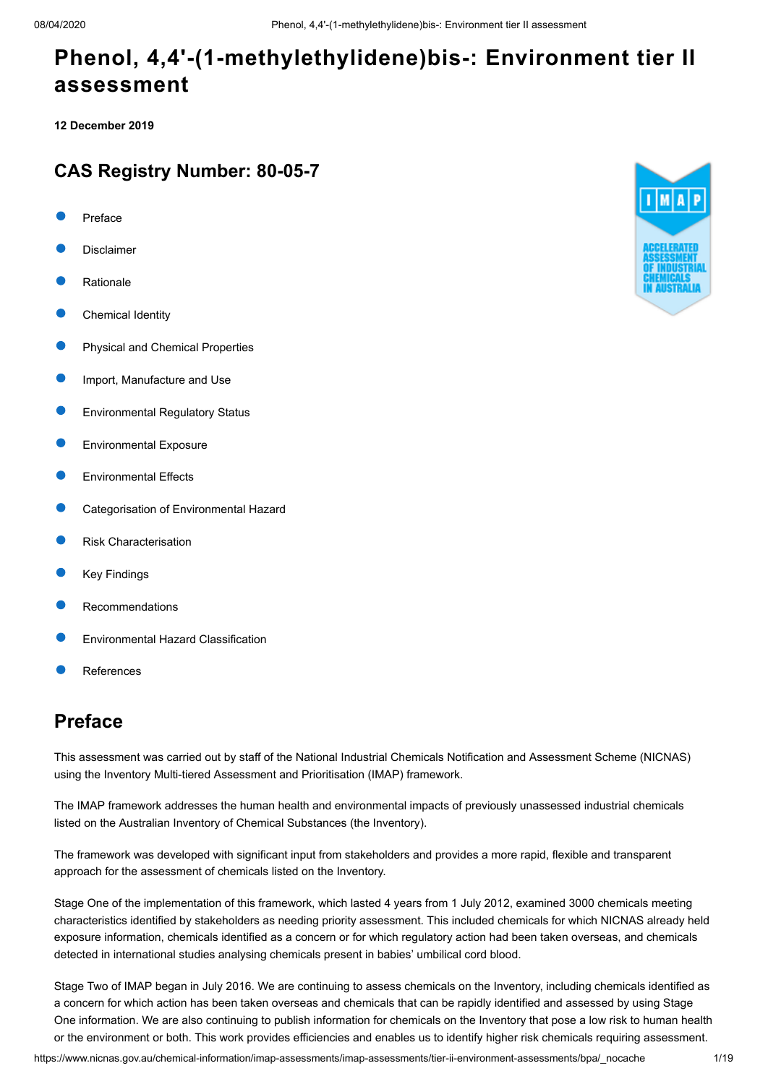**12 December 2019**

### **CAS Registry Number: 80-05-7**

- [Preface](#page-0-0)
- [Disclaimer](#page-1-0)
- [Rationale](#page-1-1)
- [Chemical Identity](#page-1-2)
- [Physical and Chemical Properties](#page-2-0)
- [Import, Manufacture and Use](#page-3-0)
- [Environmental Regulatory Status](#page-3-1)
- [Environmental Exposure](#page-5-0)
- [Environmental Effects](#page-8-0)
- [Categorisation of Environmental Hazard](#page-11-0)
- [Risk Characterisation](#page-12-0)
- [Key Findings](#page-13-0)
- [Recommendations](#page-13-1)
- [Environmental Hazard Classification](#page-13-2)
- [References](#page-14-0)

# <span id="page-0-0"></span>**Preface**

This assessment was carried out by staff of the National Industrial Chemicals Notification and Assessment Scheme (NICNAS) using the Inventory Multi-tiered Assessment and Prioritisation (IMAP) framework.

The IMAP framework addresses the human health and environmental impacts of previously unassessed industrial chemicals listed on the Australian Inventory of Chemical Substances (the Inventory).

The framework was developed with significant input from stakeholders and provides a more rapid, flexible and transparent approach for the assessment of chemicals listed on the Inventory.

Stage One of the implementation of this framework, which lasted 4 years from 1 July 2012, examined 3000 chemicals meeting characteristics identified by stakeholders as needing priority assessment. This included chemicals for which NICNAS already held exposure information, chemicals identified as a concern or for which regulatory action had been taken overseas, and chemicals detected in international studies analysing chemicals present in babies' umbilical cord blood.

Stage Two of IMAP began in July 2016. We are continuing to assess chemicals on the Inventory, including chemicals identified as a concern for which action has been taken overseas and chemicals that can be rapidly identified and assessed by using Stage One information. We are also continuing to publish information for chemicals on the Inventory that pose a low risk to human health or the environment or both. This work provides efficiencies and enables us to identify higher risk chemicals requiring assessment.

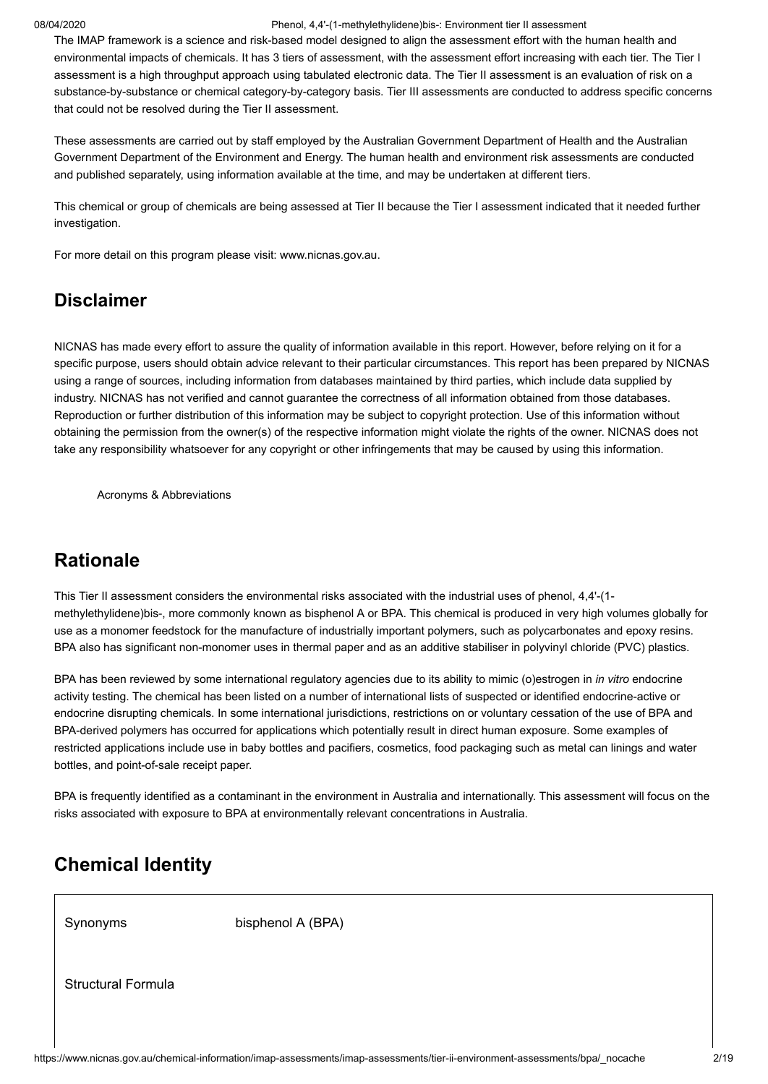The IMAP framework is a science and risk-based model designed to align the assessment effort with the human health and environmental impacts of chemicals. It has 3 tiers of assessment, with the assessment effort increasing with each tier. The Tier I assessment is a high throughput approach using tabulated electronic data. The Tier II assessment is an evaluation of risk on a substance-by-substance or chemical category-by-category basis. Tier III assessments are conducted to address specific concerns that could not be resolved during the Tier II assessment.

These assessments are carried out by staff employed by the Australian Government Department of Health and the Australian Government Department of the Environment and Energy. The human health and environment risk assessments are conducted and published separately, using information available at the time, and may be undertaken at different tiers.

This chemical or group of chemicals are being assessed at Tier II because the Tier I assessment indicated that it needed further investigation.

For more detail on this program please visit: [www.nicnas.gov.au.](https://www.nicnas.gov.au/)

### <span id="page-1-0"></span>**Disclaimer**

NICNAS has made every effort to assure the quality of information available in this report. However, before relying on it for a specific purpose, users should obtain advice relevant to their particular circumstances. This report has been prepared by NICNAS using a range of sources, including information from databases maintained by third parties, which include data supplied by industry. NICNAS has not verified and cannot guarantee the correctness of all information obtained from those databases. Reproduction or further distribution of this information may be subject to copyright protection. Use of this information without obtaining the permission from the owner(s) of the respective information might violate the rights of the owner. NICNAS does not take any responsibility whatsoever for any copyright or other infringements that may be caused by using this information.

[Acronyms & Abbreviations](http://www.nicnas.gov.au/chemical-information/imap-assessments/acronyms-and-abbreviations)

# <span id="page-1-1"></span>**Rationale**

This Tier II assessment considers the environmental risks associated with the industrial uses of phenol, 4,4'-(1 methylethylidene)bis-, more commonly known as bisphenol A or BPA. This chemical is produced in very high volumes globally for use as a monomer feedstock for the manufacture of industrially important polymers, such as polycarbonates and epoxy resins. BPA also has significant non-monomer uses in thermal paper and as an additive stabiliser in polyvinyl chloride (PVC) plastics.

BPA has been reviewed by some international regulatory agencies due to its ability to mimic (o)estrogen in *in vitro* endocrine activity testing. The chemical has been listed on a number of international lists of suspected or identified endocrine-active or endocrine disrupting chemicals. In some international jurisdictions, restrictions on or voluntary cessation of the use of BPA and BPA-derived polymers has occurred for applications which potentially result in direct human exposure. Some examples of restricted applications include use in baby bottles and pacifiers, cosmetics, food packaging such as metal can linings and water bottles, and point-of-sale receipt paper.

BPA is frequently identified as a contaminant in the environment in Australia and internationally. This assessment will focus on the risks associated with exposure to BPA at environmentally relevant concentrations in Australia.

# <span id="page-1-2"></span>**Chemical Identity**

Synonyms bisphenol A (BPA)

Structural Formula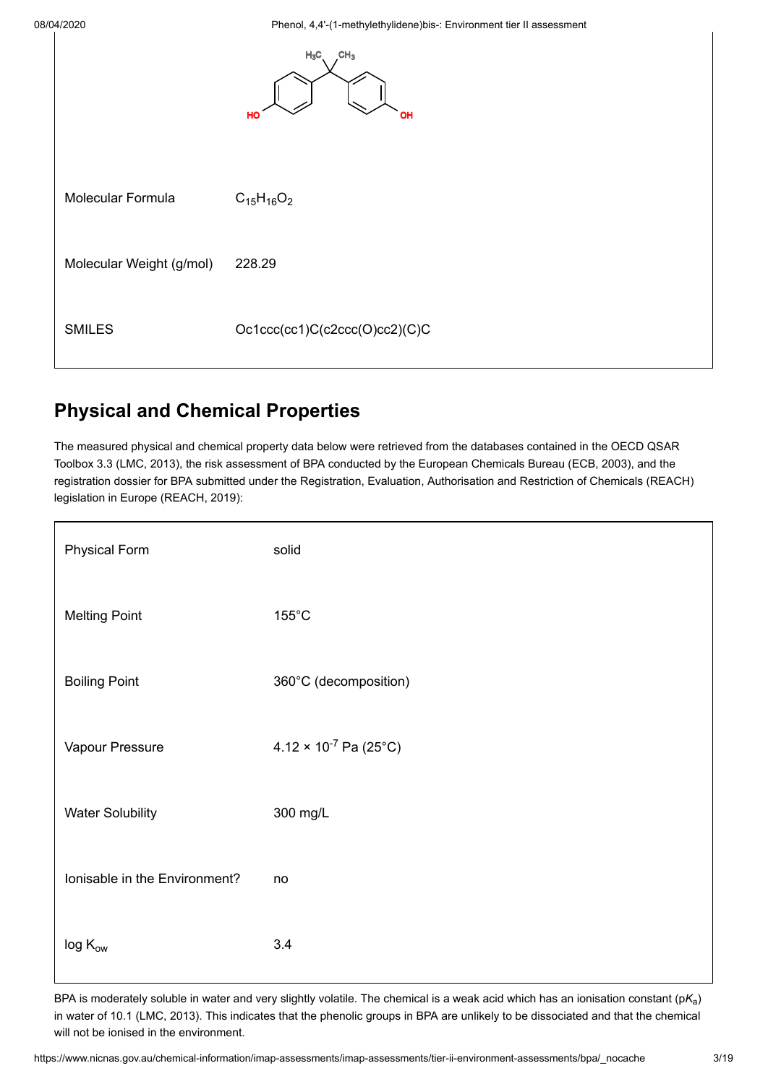ř

08/04/2020 Phenol, 4,4'-(1-methylethylidene)bis-: Environment tier II assessment



# <span id="page-2-0"></span>**Physical and Chemical Properties**

The measured physical and chemical property data below were retrieved from the databases contained in the OECD QSAR Toolbox 3.3 ([LMC, 2013](#page-16-0)), the risk assessment of BPA conducted by the European Chemicals Bureau ([ECB, 2003](#page-14-1)), and the registration dossier for BPA submitted under the Registration, Evaluation, Authorisation and Restriction of Chemicals (REACH) legislation in Europe [\(REACH, 2019](#page-17-0)):

| <b>Physical Form</b>          | solid                           |
|-------------------------------|---------------------------------|
| <b>Melting Point</b>          | $155^{\circ}$ C                 |
| <b>Boiling Point</b>          | 360°C (decomposition)           |
| Vapour Pressure               | $4.12 \times 10^{-7}$ Pa (25°C) |
| <b>Water Solubility</b>       | 300 mg/L                        |
| Ionisable in the Environment? | no                              |
| $log K_{ow}$                  | 3.4                             |

BPA is moderately soluble in water and very slightly volatile. The chemical is a weak acid which has an ionisation constant (p $\mathsf{K}_{\mathsf{a}}$ ) in water of 10.1 [\(LMC, 2013](#page-16-0)). This indicates that the phenolic groups in BPA are unlikely to be dissociated and that the chemical will not be ionised in the environment.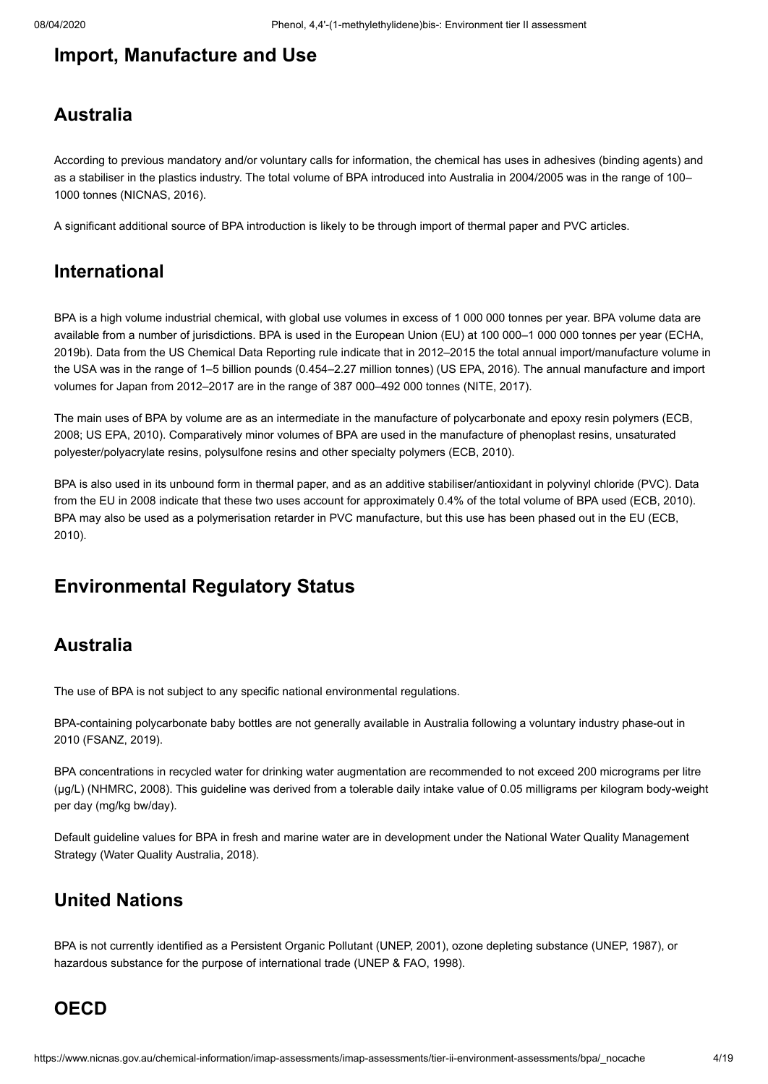# <span id="page-3-0"></span>**Import, Manufacture and Use**

# **Australia**

According to previous mandatory and/or voluntary calls for information, the chemical has uses in adhesives (binding agents) and as a stabiliser in the plastics industry. The total volume of BPA introduced into Australia in 2004/2005 was in the range of 100– 1000 tonnes [\(NICNAS, 2016](#page-16-1)).

A significant additional source of BPA introduction is likely to be through import of thermal paper and PVC articles.

### **International**

BPA is a high volume industrial chemical, with global use volumes in excess of 1 000 000 tonnes per year. BPA volume data are available from a number of jurisdictions. BPA is used in the European Union (EU) at 100 000–1 000 000 tonnes per year (ECHA, [2019b\). Data from the US Chemical Data Reporting rule indicate that in 2012–2015 the total annual import/manufacture volume in](#page-15-0) the USA was in the range of 1–5 billion pounds (0.454–2.27 million tonnes) ([US EPA, 2016\)](#page-17-1). The annual manufacture and import volumes for Japan from 2012–2017 are in the range of 387 000–492 000 tonnes ([NITE, 2017](#page-16-2)).

[The main uses of BPA by volume are as an intermediate in the manufacture of polycarbonate and epoxy resin polymers \(ECB,](#page-14-2) 2008; [US EPA, 2010](#page-17-2)). Comparatively minor volumes of BPA are used in the manufacture of phenoplast resins, unsaturated polyester/polyacrylate resins, polysulfone resins and other specialty polymers ([ECB, 2010\)](#page-14-3).

BPA is also used in its unbound form in thermal paper, and as an additive stabiliser/antioxidant in polyvinyl chloride (PVC). Data from the EU in 2008 indicate that these two uses account for approximately 0.4% of the total volume of BPA used [\(ECB, 2010](#page-14-3)). [BPA may also be used as a polymerisation retarder in PVC manufacture, but this use has been phased out in the EU \(ECB,](#page-14-3) 2010).

# <span id="page-3-1"></span>**Environmental Regulatory Status**

### **Australia**

The use of BPA is not subject to any specific national environmental regulations.

BPA-containing polycarbonate baby bottles are not generally available in Australia following a voluntary industry phase-out in 2010 [\(FSANZ, 2019\)](#page-15-1).

BPA concentrations in recycled water for drinking water augmentation are recommended to not exceed 200 micrograms per litre (µg/L) ([NHMRC, 2008\)](#page-16-3). This guideline was derived from a tolerable daily intake value of 0.05 milligrams per kilogram body-weight per day (mg/kg bw/day).

Default guideline values for BPA in fresh and marine water are in development under the National Water Quality Management Strategy [\(Water Quality Australia, 2018\)](#page-18-0).

### **United Nations**

BPA is not currently identified as a Persistent Organic Pollutant [\(UNEP, 2001](#page-17-3)), ozone depleting substance [\(UNEP, 1987](#page-17-4)), or hazardous substance for the purpose of international trade [\(UNEP & FAO, 1998\)](#page-17-5).

### **OECD**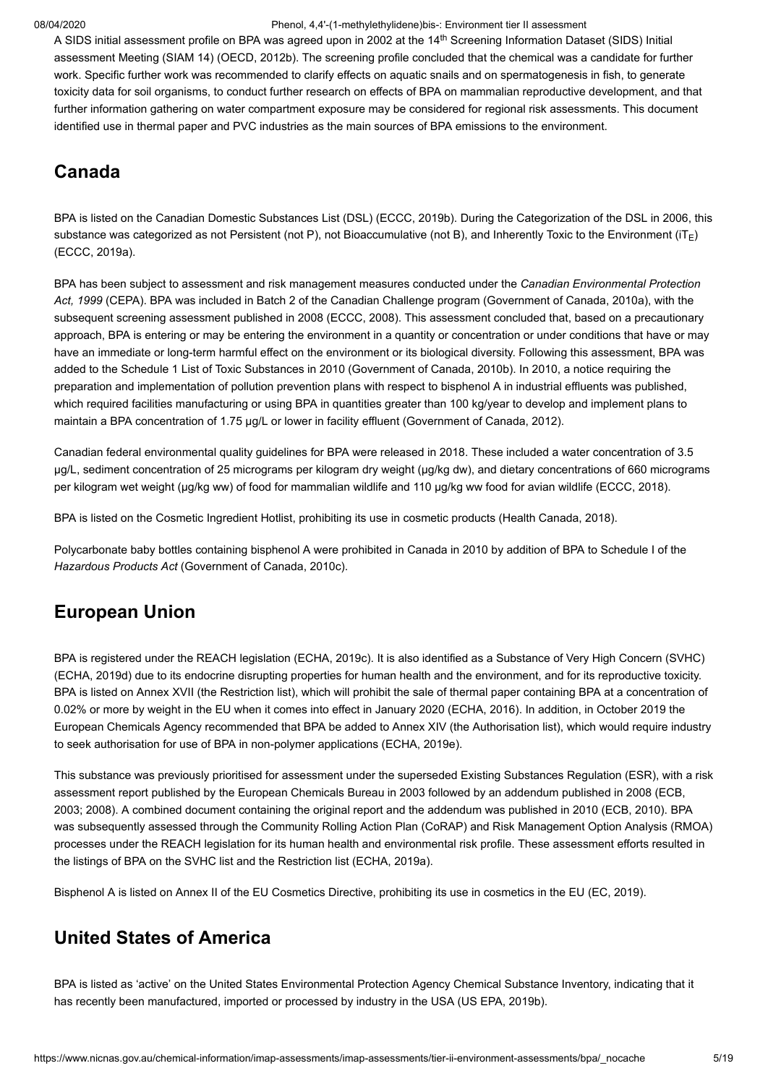A SIDS initial assessment profile on BPA was agreed upon in 2002 at the 14<sup>th</sup> Screening Information Dataset (SIDS) Initial assessment Meeting (SIAM 14) [\(OECD, 2012b](#page-16-4)). The screening profile concluded that the chemical was a candidate for further work. Specific further work was recommended to clarify effects on aquatic snails and on spermatogenesis in fish, to generate toxicity data for soil organisms, to conduct further research on effects of BPA on mammalian reproductive development, and that further information gathering on water compartment exposure may be considered for regional risk assessments. This document identified use in thermal paper and PVC industries as the main sources of BPA emissions to the environment.

# **Canada**

BPA is listed on the Canadian Domestic Substances List (DSL) [\(ECCC, 2019b](#page-14-4)). During the Categorization of the DSL in 2006, this substance was categorized as not Persistent (not P), not Bioaccumulative (not B), and Inherently Toxic to the Environment (iT<sub>E</sub>) ([ECCC, 2019a\)](#page-14-5).

BPA has been subject to assessment and risk management measures conducted under the *Canadian Environmental Protection Act, 1999* (CEPA). BPA was included in Batch 2 of the Canadian Challenge program ([Government of Canada, 2010a\)](#page-15-2), with the subsequent screening assessment published in 2008 ([ECCC, 2008\)](#page-14-6). This assessment concluded that, based on a precautionary approach, BPA is entering or may be entering the environment in a quantity or concentration or under conditions that have or may have an immediate or long-term harmful effect on the environment or its biological diversity. Following this assessment, BPA was added to the Schedule 1 List of Toxic Substances in 2010 ([Government of Canada, 2010b\)](#page-15-3). In 2010, a notice requiring the preparation and implementation of pollution prevention plans with respect to bisphenol A in industrial effluents was published, which required facilities manufacturing or using BPA in quantities greater than 100 kg/year to develop and implement plans to maintain a BPA concentration of 1.75 µg/L or lower in facility effluent [\(Government of Canada, 2012](#page-15-4)).

Canadian federal environmental quality guidelines for BPA were released in 2018. These included a water concentration of 3.5 µg/L, sediment concentration of 25 micrograms per kilogram dry weight (µg/kg dw), and dietary concentrations of 660 micrograms per kilogram wet weight (µg/kg ww) of food for mammalian wildlife and 110 µg/kg ww food for avian wildlife ([ECCC, 2018\)](#page-14-7).

BPA is listed on the Cosmetic Ingredient Hotlist, prohibiting its use in cosmetic products ([Health Canada, 2018](#page-15-5)).

Polycarbonate baby bottles containing bisphenol A were prohibited in Canada in 2010 by addition of BPA to Schedule I of the *Hazardous Products Act* [\(Government of Canada, 2010c\)](#page-15-6).

# **European Union**

BPA is registered under the REACH legislation ([ECHA, 2019c\)](#page-15-7). It is also identified as a Substance of Very High Concern (SVHC) ([ECHA, 2019d](#page-15-8)) due to its endocrine disrupting properties for human health and the environment, and for its reproductive toxicity. BPA is listed on Annex XVII (the Restriction list), which will prohibit the sale of thermal paper containing BPA at a concentration of 0.02% or more by weight in the EU when it comes into effect in January 2020 [\(ECHA, 2016](#page-14-8)). In addition, in October 2019 the European Chemicals Agency recommended that BPA be added to Annex XIV (the Authorisation list), which would require industry to seek authorisation for use of BPA in non-polymer applications ([ECHA, 2019e](#page-15-9)).

This substance was previously prioritised for assessment under the superseded Existing Substances Regulation (ESR), with a risk assessment report published by the European Chemicals Bureau in 2003 followed by an addendum published in 2008 (ECB, [2003; 2008\). A combined document containing the original report and the addendum was published in 2010 \(ECB, 2010\). BPA](#page-14-1) was subsequently assessed through the Community Rolling Action Plan (CoRAP) and Risk Management Option Analysis (RMOA) processes under the REACH legislation for its human health and environmental risk profile. These assessment efforts resulted in the listings of BPA on the SVHC list and the Restriction list ([ECHA, 2019a](#page-15-10)).

Bisphenol A is listed on Annex II of the EU Cosmetics Directive, prohibiting its use in cosmetics in the EU ([EC, 2019\)](#page-14-9).

# **United States of America**

BPA is listed as 'active' on the United States Environmental Protection Agency Chemical Substance Inventory, indicating that it has recently been manufactured, imported or processed by industry in the USA ([US EPA, 2019b](#page-17-6)).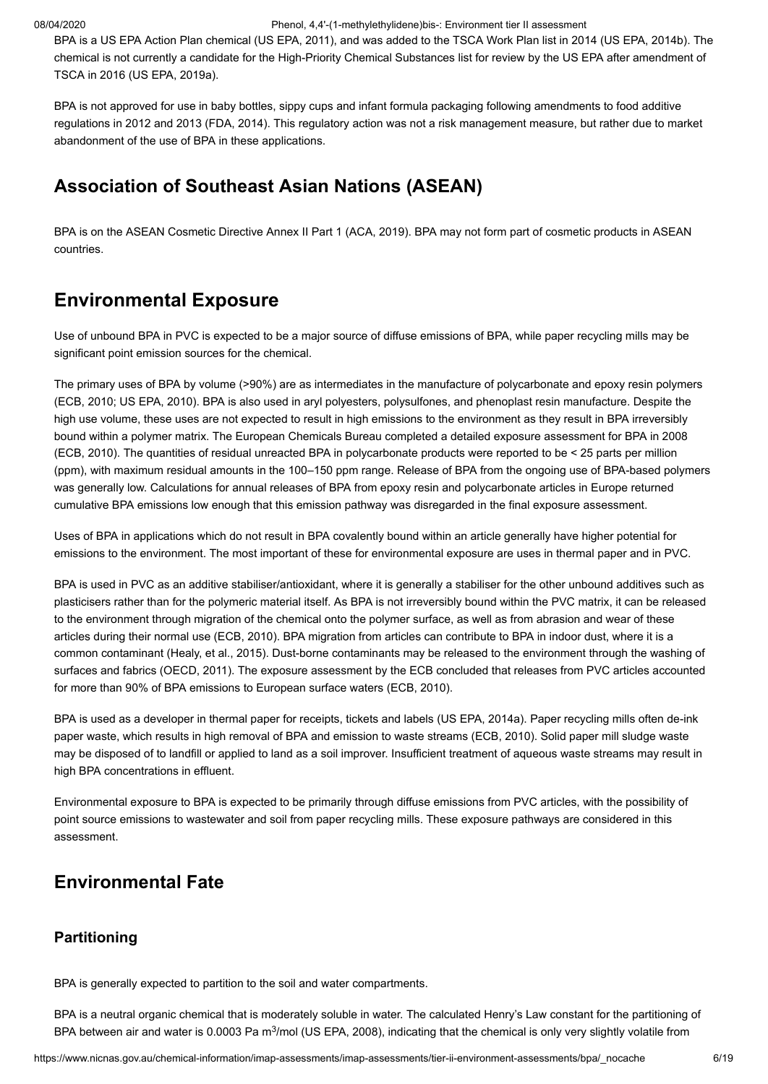BPA is a US EPA Action Plan chemical ([US EPA, 2011\)](#page-17-7), and was added to the TSCA Work Plan list in 2014 [\(US EPA, 2014b\)](#page-17-8). The chemical is not currently a candidate for the High-Priority Chemical Substances list for review by the US EPA after amendment of TSCA in 2016 ([US EPA, 2019a](#page-17-9)).

BPA is not approved for use in baby bottles, sippy cups and infant formula packaging following amendments to food additive regulations in 2012 and 2013 ([FDA, 2014](#page-15-11)). This regulatory action was not a risk management measure, but rather due to market abandonment of the use of BPA in these applications.

### **Association of Southeast Asian Nations (ASEAN)**

BPA is on the ASEAN Cosmetic Directive Annex II Part 1 ([ACA, 2019](#page-14-10)). BPA may not form part of cosmetic products in ASEAN countries.

# <span id="page-5-0"></span>**Environmental Exposure**

Use of unbound BPA in PVC is expected to be a major source of diffuse emissions of BPA, while paper recycling mills may be significant point emission sources for the chemical.

The primary uses of BPA by volume (>90%) are as intermediates in the manufacture of polycarbonate and epoxy resin polymers ([ECB, 2010;](#page-14-3) [US EPA, 2010](#page-17-2)). BPA is also used in aryl polyesters, polysulfones, and phenoplast resin manufacture. Despite the high use volume, these uses are not expected to result in high emissions to the environment as they result in BPA irreversibly bound within a polymer matrix. The European Chemicals Bureau completed a detailed exposure assessment for BPA in 2008 ([ECB, 2010\)](#page-14-3). The quantities of residual unreacted BPA in polycarbonate products were reported to be < 25 parts per million (ppm), with maximum residual amounts in the 100–150 ppm range. Release of BPA from the ongoing use of BPA-based polymers was generally low. Calculations for annual releases of BPA from epoxy resin and polycarbonate articles in Europe returned cumulative BPA emissions low enough that this emission pathway was disregarded in the final exposure assessment.

Uses of BPA in applications which do not result in BPA covalently bound within an article generally have higher potential for emissions to the environment. The most important of these for environmental exposure are uses in thermal paper and in PVC.

BPA is used in PVC as an additive stabiliser/antioxidant, where it is generally a stabiliser for the other unbound additives such as plasticisers rather than for the polymeric material itself. As BPA is not irreversibly bound within the PVC matrix, it can be released to the environment through migration of the chemical onto the polymer surface, as well as from abrasion and wear of these articles during their normal use [\(ECB, 2010](#page-14-3)). BPA migration from articles can contribute to BPA in indoor dust, where it is a common contaminant [\(Healy, et al., 2015](#page-15-12)). Dust-borne contaminants may be released to the environment through the washing of surfaces and fabrics ([OECD, 2011\)](#page-16-5). The exposure assessment by the ECB concluded that releases from PVC articles accounted for more than 90% of BPA emissions to European surface waters ([ECB, 2010\)](#page-14-3).

BPA is used as a developer in thermal paper for receipts, tickets and labels ([US EPA, 2014a](#page-17-10)). Paper recycling mills often de-ink paper waste, which results in high removal of BPA and emission to waste streams [\(ECB, 2010](#page-14-3)). Solid paper mill sludge waste may be disposed of to landfill or applied to land as a soil improver. Insufficient treatment of aqueous waste streams may result in high BPA concentrations in effluent.

Environmental exposure to BPA is expected to be primarily through diffuse emissions from PVC articles, with the possibility of point source emissions to wastewater and soil from paper recycling mills. These exposure pathways are considered in this assessment.

# **Environmental Fate**

#### **Partitioning**

BPA is generally expected to partition to the soil and water compartments.

BPA is a neutral organic chemical that is moderately soluble in water. The calculated Henry's Law constant for the partitioning of BPA between air and water is 0.0003 Pa m<sup>3</sup>/mol [\(US EPA, 2008\)](#page-17-11), indicating that the chemical is only very slightly volatile from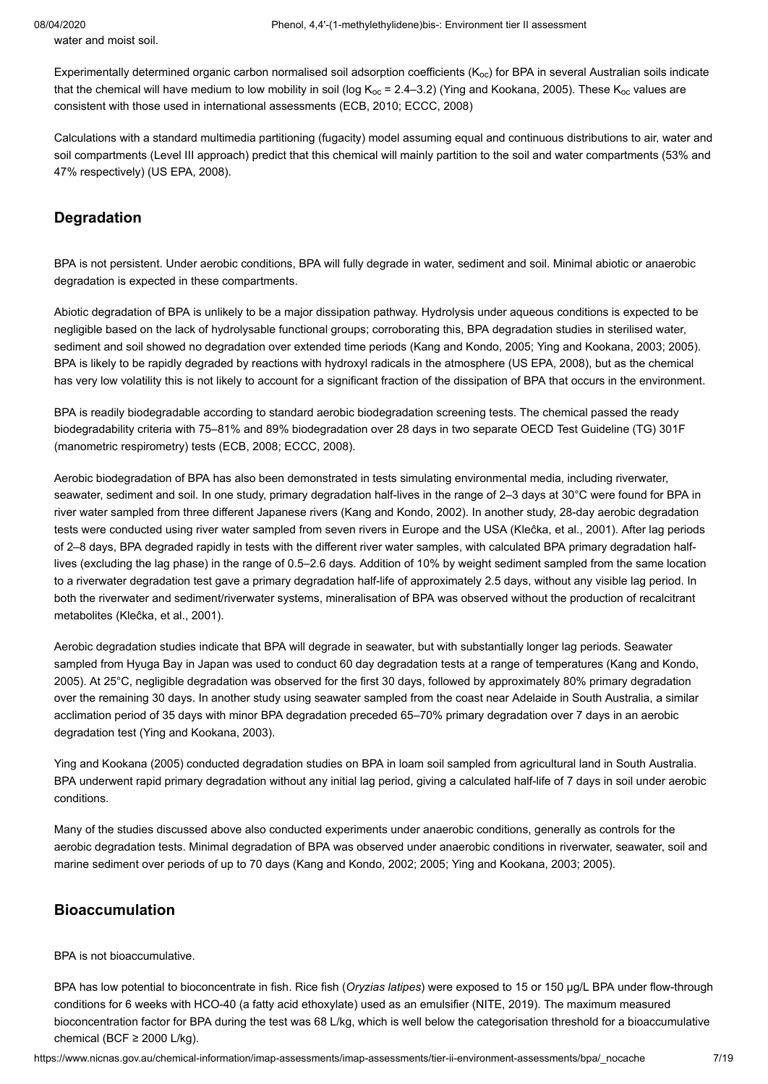Experimentally determined organic carbon normalised soil adsorption coefficients (K $_{\rm oc}$ ) for BPA in several Australian soils indicate that the chemical will have medium to low mobility in soil (log K $_{\rm{oc}}$  = 2.4–3.2) ([Ying and Kookana, 2005\)](#page-18-1). These K $_{\rm{oc}}$  values are consistent with those used in international assessments ([ECB, 2010;](#page-14-3) [ECCC, 2008\)](#page-14-6)

Calculations with a standard multimedia partitioning (fugacity) model assuming equal and continuous distributions to air, water and soil compartments (Level III approach) predict that this chemical will mainly partition to the soil and water compartments (53% and 47% respectively) [\(US EPA, 2008](#page-17-11)).

#### **Degradation**

water and moist soil.

BPA is not persistent. Under aerobic conditions, BPA will fully degrade in water, sediment and soil. Minimal abiotic or anaerobic degradation is expected in these compartments.

Abiotic degradation of BPA is unlikely to be a major dissipation pathway. Hydrolysis under aqueous conditions is expected to be negligible based on the lack of hydrolysable functional groups; corroborating this, BPA degradation studies in sterilised water, sediment and soil showed no degradation over extended time periods ([Kang and Kondo, 2005;](#page-15-13) [Ying and Kookana, 2003](#page-18-2); [2005\)](#page-18-1). BPA is likely to be rapidly degraded by reactions with hydroxyl radicals in the atmosphere ([US EPA, 2008](#page-17-11)), but as the chemical has very low volatility this is not likely to account for a significant fraction of the dissipation of BPA that occurs in the environment.

BPA is readily biodegradable according to standard aerobic biodegradation screening tests. The chemical passed the ready biodegradability criteria with 75–81% and 89% biodegradation over 28 days in two separate OECD Test Guideline (TG) 301F (manometric respirometry) tests ([ECB, 2008;](#page-14-2) [ECCC, 2008\)](#page-14-6).

Aerobic biodegradation of BPA has also been demonstrated in tests simulating environmental media, including riverwater, seawater, sediment and soil. In one study, primary degradation half-lives in the range of 2–3 days at 30°C were found for BPA in river water sampled from three different Japanese rivers ([Kang and Kondo, 2002](#page-15-14)). In another study, 28-day aerobic degradation tests were conducted using river water sampled from seven rivers in Europe and the USA [\(Kleĉka, et al., 2001](#page-16-6)). After lag periods of 2–8 days, BPA degraded rapidly in tests with the different river water samples, with calculated BPA primary degradation halflives (excluding the lag phase) in the range of 0.5–2.6 days. Addition of 10% by weight sediment sampled from the same location to a riverwater degradation test gave a primary degradation half-life of approximately 2.5 days, without any visible lag period. In both the riverwater and sediment/riverwater systems, mineralisation of BPA was observed without the production of recalcitrant metabolites ([Kleĉka, et al., 2001](#page-16-6)).

Aerobic degradation studies indicate that BPA will degrade in seawater, but with substantially longer lag periods. Seawater [sampled from Hyuga Bay in Japan was used to conduct 60 day degradation tests at a range of temperatures \(Kang and Kondo,](#page-15-13) 2005). At 25°C, negligible degradation was observed for the first 30 days, followed by approximately 80% primary degradation over the remaining 30 days. In another study using seawater sampled from the coast near Adelaide in South Australia, a similar acclimation period of 35 days with minor BPA degradation preceded 65–70% primary degradation over 7 days in an aerobic degradation test [\(Ying and Kookana, 2003\)](#page-18-2).

[Ying and Kookana \(2005\)](#page-18-1) conducted degradation studies on BPA in loam soil sampled from agricultural land in South Australia. BPA underwent rapid primary degradation without any initial lag period, giving a calculated half-life of 7 days in soil under aerobic conditions.

Many of the studies discussed above also conducted experiments under anaerobic conditions, generally as controls for the aerobic degradation tests. Minimal degradation of BPA was observed under anaerobic conditions in riverwater, seawater, soil and marine sediment over periods of up to 70 days ([Kang and Kondo, 2002;](#page-15-14) [2005](#page-15-13); [Ying and Kookana, 2003](#page-18-2); [2005\)](#page-18-1).

#### **Bioaccumulation**

#### BPA is not bioaccumulative.

BPA has low potential to bioconcentrate in fish. Rice fish (*Oryzias latipes*) were exposed to 15 or 150 µg/L BPA under flow-through conditions for 6 weeks with HCO-40 (a fatty acid ethoxylate) used as an emulsifier ([NITE, 2019\)](#page-16-7). The maximum measured bioconcentration factor for BPA during the test was 68 L/kg, which is well below the categorisation threshold for a bioaccumulative chemical (BCF  $\geq$  2000 L/kg).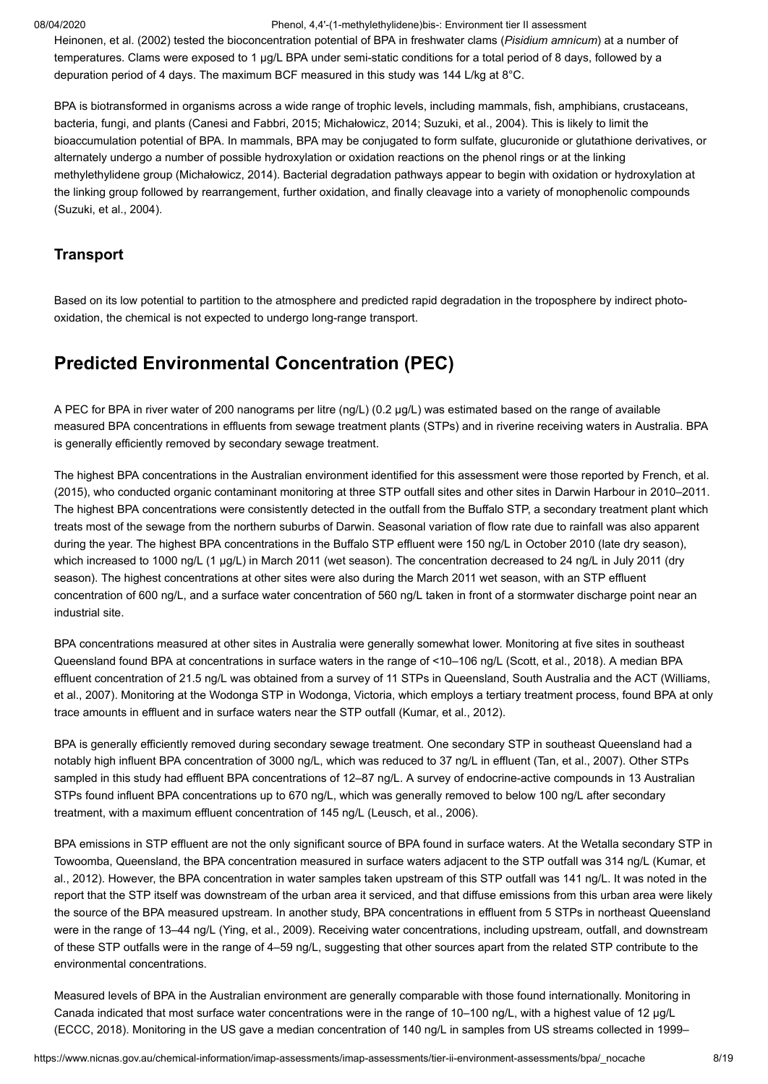[Heinonen, et al. \(2002\)](#page-15-15) tested the bioconcentration potential of BPA in freshwater clams (*Pisidium amnicum*) at a number of temperatures. Clams were exposed to 1 µg/L BPA under semi-static conditions for a total period of 8 days, followed by a depuration period of 4 days. The maximum BCF measured in this study was 144 L/kg at 8°C.

BPA is biotransformed in organisms across a wide range of trophic levels, including mammals, fish, amphibians, crustaceans, bacteria, fungi, and plants ([Canesi and Fabbri, 2015](#page-14-11); [Michałowicz, 2014;](#page-16-8) [Suzuki, et al., 2004](#page-17-12)). This is likely to limit the bioaccumulation potential of BPA. In mammals, BPA may be conjugated to form sulfate, glucuronide or glutathione derivatives, or alternately undergo a number of possible hydroxylation or oxidation reactions on the phenol rings or at the linking methylethylidene group [\(Michałowicz, 2014](#page-16-8)). Bacterial degradation pathways appear to begin with oxidation or hydroxylation at the linking group followed by rearrangement, further oxidation, and finally cleavage into a variety of monophenolic compounds ([Suzuki, et al., 2004](#page-17-12)).

#### **Transport**

Based on its low potential to partition to the atmosphere and predicted rapid degradation in the troposphere by indirect photooxidation, the chemical is not expected to undergo long-range transport.

# **Predicted Environmental Concentration (PEC)**

A PEC for BPA in river water of 200 nanograms per litre (ng/L) (0.2 µg/L) was estimated based on the range of available measured BPA concentrations in effluents from sewage treatment plants (STPs) and in riverine receiving waters in Australia. BPA is generally efficiently removed by secondary sewage treatment.

The highest BPA concentrations in the Australian environment identified for this assessment were those reported by French, et al. [\(2015\), who conducted organic contaminant monitoring at three STP outfall sites and other sites in Darwin Harbour in 2010–2011.](#page-15-16) The highest BPA concentrations were consistently detected in the outfall from the Buffalo STP, a secondary treatment plant which treats most of the sewage from the northern suburbs of Darwin. Seasonal variation of flow rate due to rainfall was also apparent during the year. The highest BPA concentrations in the Buffalo STP effluent were 150 ng/L in October 2010 (late dry season), which increased to 1000 ng/L (1 µg/L) in March 2011 (wet season). The concentration decreased to 24 ng/L in July 2011 (dry season). The highest concentrations at other sites were also during the March 2011 wet season, with an STP effluent concentration of 600 ng/L, and a surface water concentration of 560 ng/L taken in front of a stormwater discharge point near an industrial site.

BPA concentrations measured at other sites in Australia were generally somewhat lower. Monitoring at five sites in southeast Queensland found BPA at concentrations in surface waters in the range of <10–106 ng/L [\(Scott, et al., 2018](#page-17-13)). A median BPA effluent concentration of 21.5 ng/L was obtained from a survey of 11 STPs in Queensland, South Australia and the ACT (Williams, [et al., 2007\). Monitoring at the Wodonga STP in Wodonga, Victoria, which employs a tertiary treatment process, found BPA at only](#page-18-3) trace amounts in effluent and in surface waters near the STP outfall ([Kumar, et al., 2012\)](#page-16-9).

BPA is generally efficiently removed during secondary sewage treatment. One secondary STP in southeast Queensland had a notably high influent BPA concentration of 3000 ng/L, which was reduced to 37 ng/L in effluent ([Tan, et al., 2007\)](#page-17-14). Other STPs sampled in this study had effluent BPA concentrations of 12–87 ng/L. A survey of endocrine-active compounds in 13 Australian STPs found influent BPA concentrations up to 670 ng/L, which was generally removed to below 100 ng/L after secondary treatment, with a maximum effluent concentration of 145 ng/L ([Leusch, et al., 2006](#page-16-10)).

BPA emissions in STP effluent are not the only significant source of BPA found in surface waters. At the Wetalla secondary STP in Towoomba, Queensland, the BPA concentration measured in surface waters adjacent to the STP outfall was 314 ng/L (Kumar, et [al., 2012\). However, the BPA concentration in water samples taken upstream of this STP outfall was 141 ng/L. It was noted in the](#page-16-9) report that the STP itself was downstream of the urban area it serviced, and that diffuse emissions from this urban area were likely the source of the BPA measured upstream. In another study, BPA concentrations in effluent from 5 STPs in northeast Queensland were in the range of 13–44 ng/L ([Ying, et al., 2009\)](#page-18-4). Receiving water concentrations, including upstream, outfall, and downstream of these STP outfalls were in the range of 4–59 ng/L, suggesting that other sources apart from the related STP contribute to the environmental concentrations.

Measured levels of BPA in the Australian environment are generally comparable with those found internationally. Monitoring in Canada indicated that most surface water concentrations were in the range of 10–100 ng/L, with a highest value of 12 µg/L ([ECCC, 2018\)](#page-14-7). Monitoring in the US gave a median concentration of 140 ng/L in samples from US streams collected in 1999–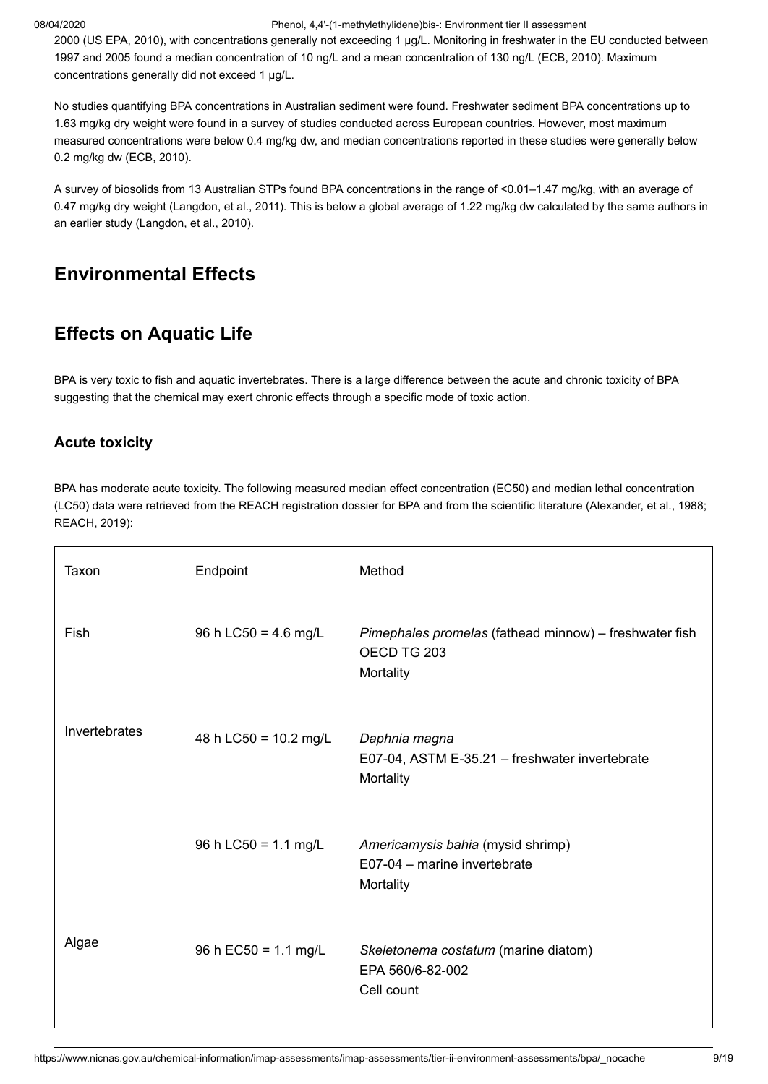2000 [\(US EPA, 2010\)](#page-17-2), with concentrations generally not exceeding 1 µg/L. Monitoring in freshwater in the EU conducted between 1997 and 2005 found a median concentration of 10 ng/L and a mean concentration of 130 ng/L ([ECB, 2010\)](#page-14-3). Maximum concentrations generally did not exceed 1 µg/L.

No studies quantifying BPA concentrations in Australian sediment were found. Freshwater sediment BPA concentrations up to 1.63 mg/kg dry weight were found in a survey of studies conducted across European countries. However, most maximum measured concentrations were below 0.4 mg/kg dw, and median concentrations reported in these studies were generally below 0.2 mg/kg dw [\(ECB, 2010](#page-14-3)).

A survey of biosolids from 13 Australian STPs found BPA concentrations in the range of <0.01–1.47 mg/kg, with an average of 0.47 mg/kg dry weight [\(Langdon, et al., 2011\)](#page-16-11). This is below a global average of 1.22 mg/kg dw calculated by the same authors in an earlier study [\(Langdon, et al., 2010](#page-16-12)).

# <span id="page-8-0"></span>**Environmental Effects**

# **Effects on Aquatic Life**

BPA is very toxic to fish and aquatic invertebrates. There is a large difference between the acute and chronic toxicity of BPA suggesting that the chemical may exert chronic effects through a specific mode of toxic action.

#### **Acute toxicity**

BPA has moderate acute toxicity. The following measured median effect concentration (EC50) and median lethal concentration (LC50) data were retrieved from the REACH registration dossier for BPA and from the scientific literature ([Alexander, et al., 1988;](#page-14-12) [REACH, 2019](#page-17-0)):

| Taxon         | Endpoint                | Method                                                                             |
|---------------|-------------------------|------------------------------------------------------------------------------------|
| Fish          | 96 h LC50 = 4.6 mg/L    | Pimephales promelas (fathead minnow) - freshwater fish<br>OECD TG 203<br>Mortality |
| Invertebrates | 48 h LC50 = $10.2$ mg/L | Daphnia magna<br>E07-04, ASTM E-35.21 - freshwater invertebrate<br>Mortality       |
|               | 96 h LC50 = $1.1$ mg/L  | Americamysis bahia (mysid shrimp)<br>E07-04 - marine invertebrate<br>Mortality     |
| Algae         | 96 h EC50 = $1.1$ mg/L  | Skeletonema costatum (marine diatom)<br>EPA 560/6-82-002<br>Cell count             |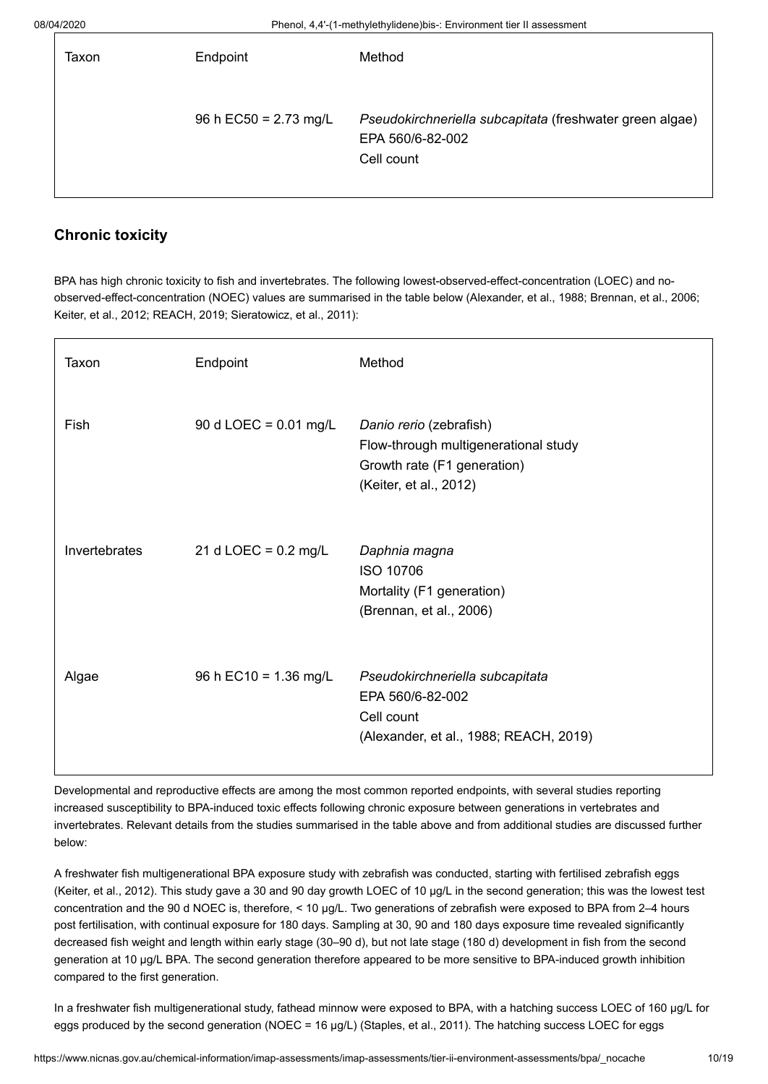| Taxon | Endpoint                | Method                                                                                     |
|-------|-------------------------|--------------------------------------------------------------------------------------------|
|       | 96 h EC50 = $2.73$ mg/L | Pseudokirchneriella subcapitata (freshwater green algae)<br>EPA 560/6-82-002<br>Cell count |

### **Chronic toxicity**

BPA has high chronic toxicity to fish and invertebrates. The following lowest-observed-effect-concentration (LOEC) and noobserved-effect-concentration (NOEC) values are summarised in the table below [\(Alexander, et al., 1988](#page-14-12); [Brennan, et al., 2006](#page-14-13); [Keiter, et al., 2012;](#page-15-17) [REACH, 2019](#page-17-0); [Sieratowicz, et al., 2011\)](#page-17-15):

| Taxon         | Endpoint                       | Method                                                                                                                   |
|---------------|--------------------------------|--------------------------------------------------------------------------------------------------------------------------|
| Fish          | 90 d LOEC = $0.01$ mg/L        | Danio rerio (zebrafish)<br>Flow-through multigenerational study<br>Growth rate (F1 generation)<br>(Keiter, et al., 2012) |
| Invertebrates | 21 d LOEC = $0.2 \text{ mg/L}$ | Daphnia magna<br><b>ISO 10706</b><br>Mortality (F1 generation)<br>(Brennan, et al., 2006)                                |
| Algae         | 96 h EC10 = $1.36$ mg/L        | Pseudokirchneriella subcapitata<br>EPA 560/6-82-002<br>Cell count<br>(Alexander, et al., 1988; REACH, 2019)              |

Developmental and reproductive effects are among the most common reported endpoints, with several studies reporting increased susceptibility to BPA-induced toxic effects following chronic exposure between generations in vertebrates and invertebrates. Relevant details from the studies summarised in the table above and from additional studies are discussed further below:

A freshwater fish multigenerational BPA exposure study with zebrafish was conducted, starting with fertilised zebrafish eggs ([Keiter, et al., 2012\)](#page-15-17). This study gave a 30 and 90 day growth LOEC of 10 µg/L in the second generation; this was the lowest test concentration and the 90 d NOEC is, therefore, < 10 µg/L. Two generations of zebrafish were exposed to BPA from 2-4 hours post fertilisation, with continual exposure for 180 days. Sampling at 30, 90 and 180 days exposure time revealed significantly decreased fish weight and length within early stage (30–90 d), but not late stage (180 d) development in fish from the second generation at 10 µg/L BPA. The second generation therefore appeared to be more sensitive to BPA-induced growth inhibition compared to the first generation.

In a freshwater fish multigenerational study, fathead minnow were exposed to BPA, with a hatching success LOEC of 160 µg/L for eggs produced by the second generation (NOEC = 16 µg/L) [\(Staples, et al., 2011\)](#page-17-16). The hatching success LOEC for eggs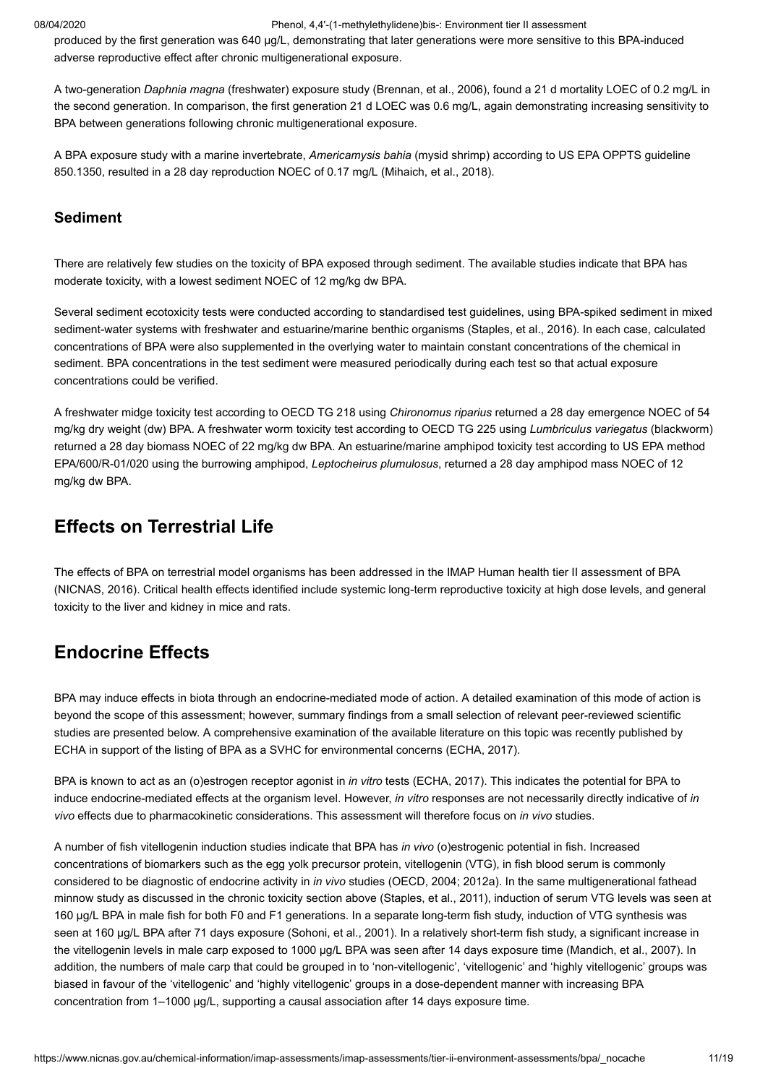produced by the first generation was 640 µg/L, demonstrating that later generations were more sensitive to this BPA-induced adverse reproductive effect after chronic multigenerational exposure.

A two-generation *Daphnia magna* (freshwater) exposure study [\(Brennan, et al., 2006\)](#page-14-13), found a 21 d mortality LOEC of 0.2 mg/L in the second generation. In comparison, the first generation 21 d LOEC was 0.6 mg/L, again demonstrating increasing sensitivity to BPA between generations following chronic multigenerational exposure.

A BPA exposure study with a marine invertebrate, *Americamysis bahia* (mysid shrimp) according to US EPA OPPTS guideline 850.1350, resulted in a 28 day reproduction NOEC of 0.17 mg/L ([Mihaich, et al., 2018\)](#page-16-13).

#### **Sediment**

There are relatively few studies on the toxicity of BPA exposed through sediment. The available studies indicate that BPA has moderate toxicity, with a lowest sediment NOEC of 12 mg/kg dw BPA.

Several sediment ecotoxicity tests were conducted according to standardised test guidelines, using BPA-spiked sediment in mixed sediment-water systems with freshwater and estuarine/marine benthic organisms ([Staples, et al., 2016\)](#page-17-17). In each case, calculated concentrations of BPA were also supplemented in the overlying water to maintain constant concentrations of the chemical in sediment. BPA concentrations in the test sediment were measured periodically during each test so that actual exposure concentrations could be verified.

A freshwater midge toxicity test according to OECD TG 218 using *Chironomus riparius* returned a 28 day emergence NOEC of 54 mg/kg dry weight (dw) BPA. A freshwater worm toxicity test according to OECD TG 225 using *Lumbriculus variegatus* (blackworm) returned a 28 day biomass NOEC of 22 mg/kg dw BPA. An estuarine/marine amphipod toxicity test according to US EPA method EPA/600/R-01/020 using the burrowing amphipod, *Leptocheirus plumulosus*, returned a 28 day amphipod mass NOEC of 12 mg/kg dw BPA.

### **Effects on Terrestrial Life**

The effects of BPA on terrestrial model organisms has been addressed in the IMAP Human health tier II assessment of BPA ([NICNAS, 2016](#page-16-1)). Critical health effects identified include systemic long-term reproductive toxicity at high dose levels, and general toxicity to the liver and kidney in mice and rats.

# **Endocrine Effects**

BPA may induce effects in biota through an endocrine-mediated mode of action. A detailed examination of this mode of action is beyond the scope of this assessment; however, summary findings from a small selection of relevant peer-reviewed scientific studies are presented below. A comprehensive examination of the available literature on this topic was recently published by ECHA in support of the listing of BPA as a SVHC for environmental concerns ([ECHA, 2017\)](#page-15-18).

BPA is known to act as an (o)estrogen receptor agonist in *in vitro* tests ([ECHA, 2017\)](#page-15-18). This indicates the potential for BPA to induce endocrine-mediated effects at the organism level. However, *in vitro* responses are not necessarily directly indicative of *in vivo* effects due to pharmacokinetic considerations. This assessment will therefore focus on *in vivo* studies.

A number of fish vitellogenin induction studies indicate that BPA has *in vivo* (o)estrogenic potential in fish. Increased concentrations of biomarkers such as the egg yolk precursor protein, vitellogenin (VTG), in fish blood serum is commonly considered to be diagnostic of endocrine activity in *in vivo* studies ([OECD, 2004](#page-16-14); [2012a\)](#page-16-15). In the same multigenerational fathead minnow study as discussed in the chronic toxicity section above [\(Staples, et al., 2011\)](#page-17-16), induction of serum VTG levels was seen at 160 µg/L BPA in male fish for both F0 and F1 generations. In a separate long-term fish study, induction of VTG synthesis was seen at 160 µg/L BPA after 71 days exposure ([Sohoni, et al., 2001](#page-17-18)). In a relatively short-term fish study, a significant increase in the vitellogenin levels in male carp exposed to 1000 µg/L BPA was seen after 14 days exposure time ([Mandich, et al., 2007](#page-16-16)). In addition, the numbers of male carp that could be grouped in to 'non-vitellogenic', 'vitellogenic' and 'highly vitellogenic' groups was biased in favour of the 'vitellogenic' and 'highly vitellogenic' groups in a dose-dependent manner with increasing BPA concentration from 1–1000 µg/L, supporting a causal association after 14 days exposure time.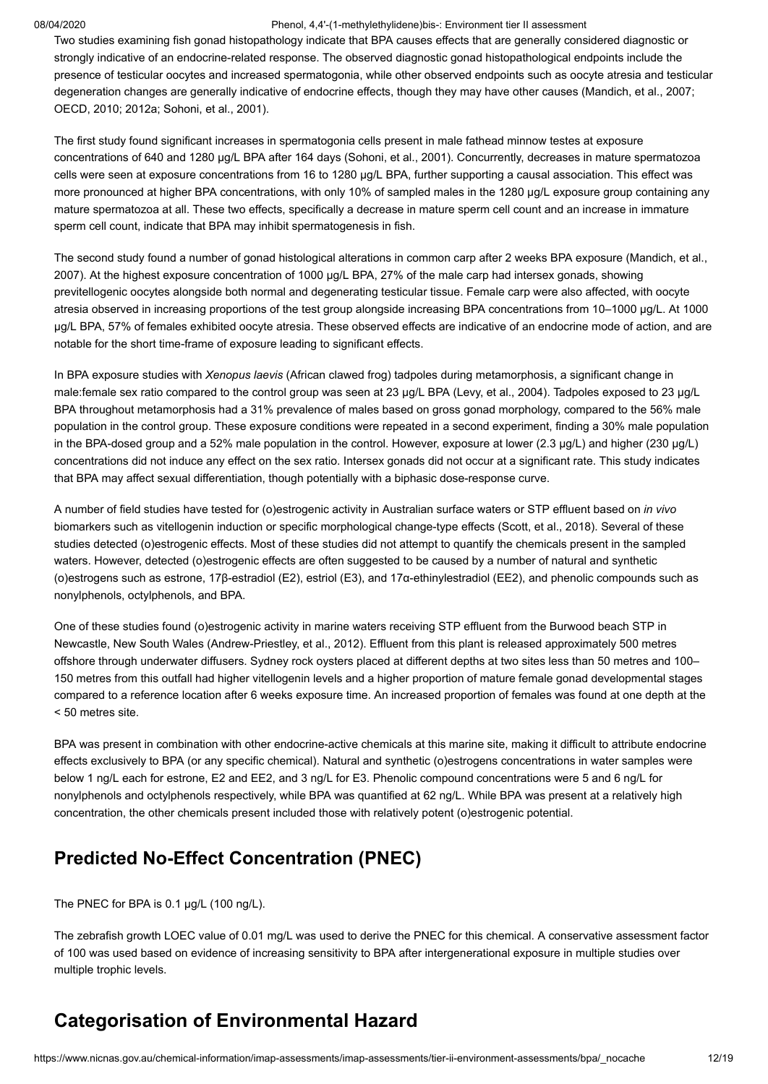Two studies examining fish gonad histopathology indicate that BPA causes effects that are generally considered diagnostic or strongly indicative of an endocrine-related response. The observed diagnostic gonad histopathological endpoints include the presence of testicular oocytes and increased spermatogonia, while other observed endpoints such as oocyte atresia and testicular degeneration changes are generally indicative of endocrine effects, though they may have other causes ([Mandich, et al., 2007](#page-16-16); [OECD, 2010](#page-16-17); [2012a;](#page-16-15) [Sohoni, et al., 2001](#page-17-18)).

The first study found significant increases in spermatogonia cells present in male fathead minnow testes at exposure concentrations of 640 and 1280 µg/L BPA after 164 days ([Sohoni, et al., 2001\)](#page-17-18). Concurrently, decreases in mature spermatozoa cells were seen at exposure concentrations from 16 to 1280 µg/L BPA, further supporting a causal association. This effect was more pronounced at higher BPA concentrations, with only 10% of sampled males in the 1280 µg/L exposure group containing any mature spermatozoa at all. These two effects, specifically a decrease in mature sperm cell count and an increase in immature sperm cell count, indicate that BPA may inhibit spermatogenesis in fish.

[The second study found a number of gonad histological alterations in common carp after 2 weeks BPA exposure \(Mandich, et al.,](#page-16-16) 2007). At the highest exposure concentration of 1000 µg/L BPA, 27% of the male carp had intersex gonads, showing previtellogenic oocytes alongside both normal and degenerating testicular tissue. Female carp were also affected, with oocyte atresia observed in increasing proportions of the test group alongside increasing BPA concentrations from 10–1000 µg/L. At 1000 µg/L BPA, 57% of females exhibited oocyte atresia. These observed effects are indicative of an endocrine mode of action, and are notable for the short time-frame of exposure leading to significant effects.

In BPA exposure studies with *Xenopus laevis* (African clawed frog) tadpoles during metamorphosis, a significant change in male:female sex ratio compared to the control group was seen at 23 µg/L BPA [\(Levy, et al., 2004](#page-16-18)). Tadpoles exposed to 23 µg/L BPA throughout metamorphosis had a 31% prevalence of males based on gross gonad morphology, compared to the 56% male population in the control group. These exposure conditions were repeated in a second experiment, finding a 30% male population in the BPA-dosed group and a 52% male population in the control. However, exposure at lower (2.3 µg/L) and higher (230 µg/L) concentrations did not induce any effect on the sex ratio. Intersex gonads did not occur at a significant rate. This study indicates that BPA may affect sexual differentiation, though potentially with a biphasic dose-response curve.

A number of field studies have tested for (o)estrogenic activity in Australian surface waters or STP effluent based on *in vivo* biomarkers such as vitellogenin induction or specific morphological change-type effects [\(Scott, et al., 2018](#page-17-13)). Several of these studies detected (o)estrogenic effects. Most of these studies did not attempt to quantify the chemicals present in the sampled waters. However, detected (o)estrogenic effects are often suggested to be caused by a number of natural and synthetic (o)estrogens such as estrone, 17β-estradiol (E2), estriol (E3), and 17α-ethinylestradiol (EE2), and phenolic compounds such as nonylphenols, octylphenols, and BPA.

One of these studies found (o)estrogenic activity in marine waters receiving STP effluent from the Burwood beach STP in Newcastle, New South Wales [\(Andrew-Priestley, et al., 2012\)](#page-14-14). Effluent from this plant is released approximately 500 metres offshore through underwater diffusers. Sydney rock oysters placed at different depths at two sites less than 50 metres and 100– 150 metres from this outfall had higher vitellogenin levels and a higher proportion of mature female gonad developmental stages compared to a reference location after 6 weeks exposure time. An increased proportion of females was found at one depth at the < 50 metres site.

BPA was present in combination with other endocrine-active chemicals at this marine site, making it difficult to attribute endocrine effects exclusively to BPA (or any specific chemical). Natural and synthetic (o)estrogens concentrations in water samples were below 1 ng/L each for estrone, E2 and EE2, and 3 ng/L for E3. Phenolic compound concentrations were 5 and 6 ng/L for nonylphenols and octylphenols respectively, while BPA was quantified at 62 ng/L. While BPA was present at a relatively high concentration, the other chemicals present included those with relatively potent (o)estrogenic potential.

# **Predicted No-Effect Concentration (PNEC)**

The PNEC for BPA is 0.1 µg/L (100 ng/L).

The zebrafish growth LOEC value of 0.01 mg/L was used to derive the PNEC for this chemical. A conservative assessment factor of 100 was used based on evidence of increasing sensitivity to BPA after intergenerational exposure in multiple studies over multiple trophic levels.

# <span id="page-11-0"></span>**Categorisation of Environmental Hazard**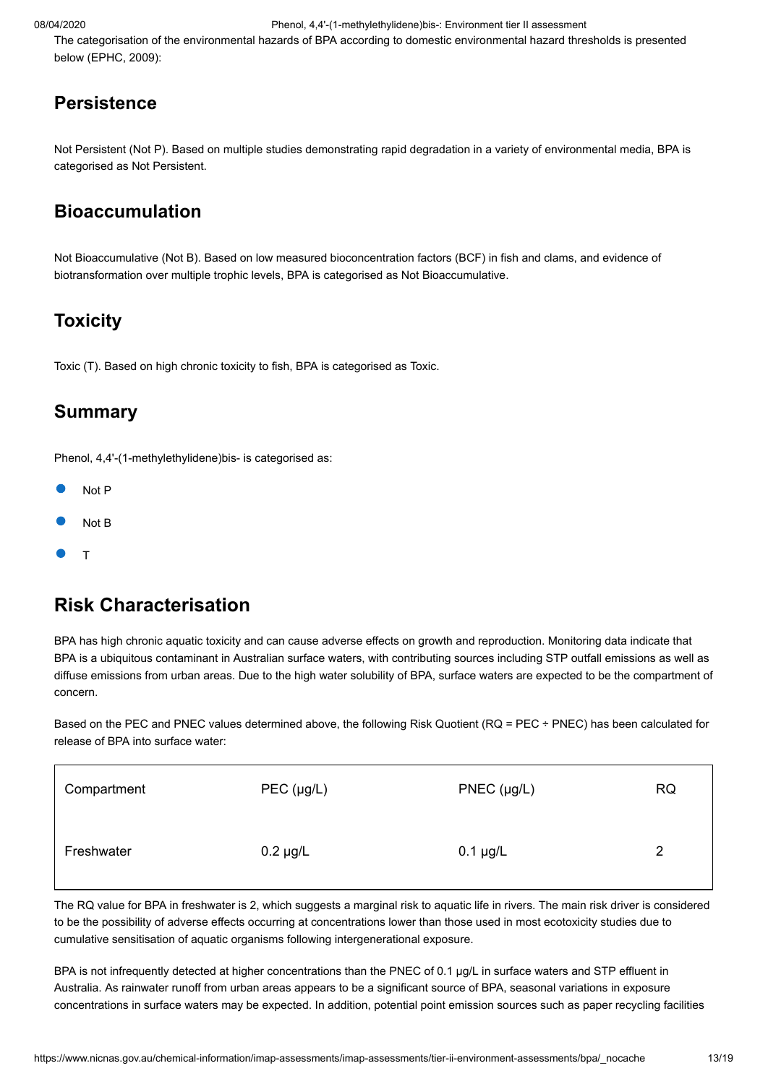The categorisation of the environmental hazards of BPA according to domestic environmental hazard thresholds is presented below ([EPHC, 2009\)](#page-15-19):

# **Persistence**

Not Persistent (Not P). Based on multiple studies demonstrating rapid degradation in a variety of environmental media, BPA is categorised as Not Persistent.

# **Bioaccumulation**

Not Bioaccumulative (Not B). Based on low measured bioconcentration factors (BCF) in fish and clams, and evidence of biotransformation over multiple trophic levels, BPA is categorised as Not Bioaccumulative.

# **Toxicity**

Toxic (T). Based on high chronic toxicity to fish, BPA is categorised as Toxic.

### **Summary**

Phenol, 4,4'-(1-methylethylidene)bis- is categorised as:

- Not P
- Not B
- T

# <span id="page-12-0"></span>**Risk Characterisation**

BPA has high chronic aquatic toxicity and can cause adverse effects on growth and reproduction. Monitoring data indicate that BPA is a ubiquitous contaminant in Australian surface waters, with contributing sources including STP outfall emissions as well as diffuse emissions from urban areas. Due to the high water solubility of BPA, surface waters are expected to be the compartment of concern.

Based on the PEC and PNEC values determined above, the following Risk Quotient (RQ = PEC ÷ PNEC) has been calculated for release of BPA into surface water:

| Compartment | $PEC$ (µg/L)  | $PNEC$ (µg/L) | <b>RQ</b> |
|-------------|---------------|---------------|-----------|
| Freshwater  | $0.2 \mu g/L$ | $0.1 \mu g/L$ |           |

The RQ value for BPA in freshwater is 2, which suggests a marginal risk to aquatic life in rivers. The main risk driver is considered to be the possibility of adverse effects occurring at concentrations lower than those used in most ecotoxicity studies due to cumulative sensitisation of aquatic organisms following intergenerational exposure.

BPA is not infrequently detected at higher concentrations than the PNEC of 0.1 µg/L in surface waters and STP effluent in Australia. As rainwater runoff from urban areas appears to be a significant source of BPA, seasonal variations in exposure concentrations in surface waters may be expected. In addition, potential point emission sources such as paper recycling facilities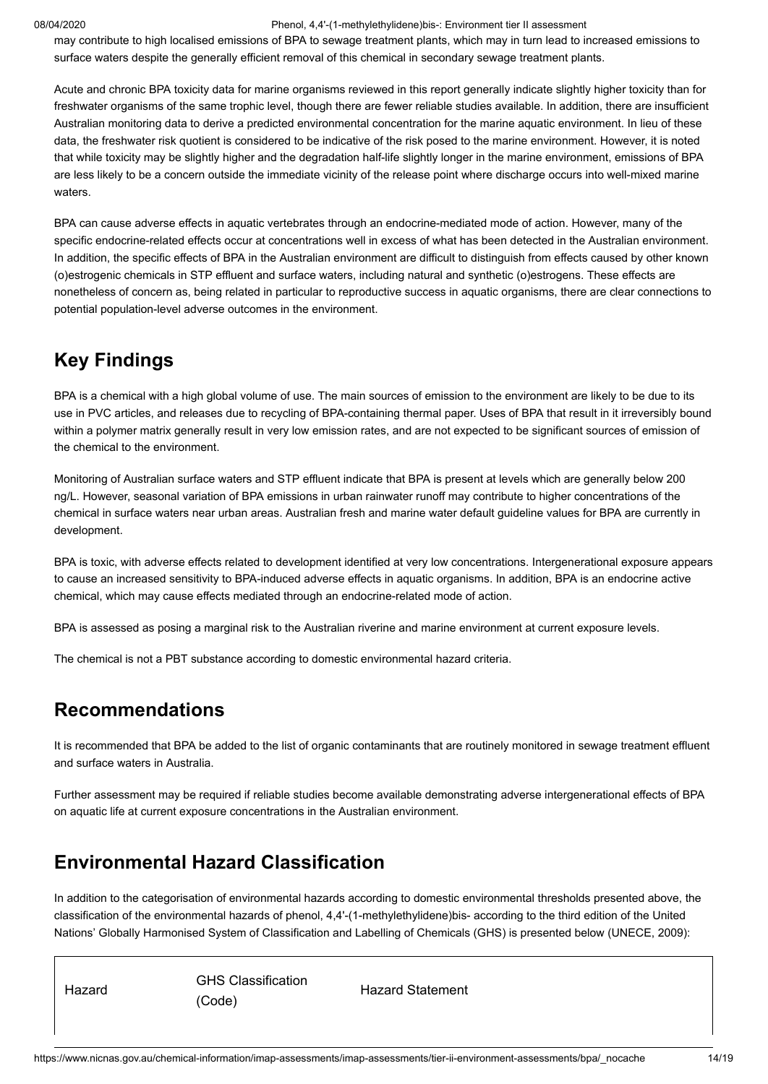may contribute to high localised emissions of BPA to sewage treatment plants, which may in turn lead to increased emissions to surface waters despite the generally efficient removal of this chemical in secondary sewage treatment plants.

Acute and chronic BPA toxicity data for marine organisms reviewed in this report generally indicate slightly higher toxicity than for freshwater organisms of the same trophic level, though there are fewer reliable studies available. In addition, there are insufficient Australian monitoring data to derive a predicted environmental concentration for the marine aquatic environment. In lieu of these data, the freshwater risk quotient is considered to be indicative of the risk posed to the marine environment. However, it is noted that while toxicity may be slightly higher and the degradation half-life slightly longer in the marine environment, emissions of BPA are less likely to be a concern outside the immediate vicinity of the release point where discharge occurs into well-mixed marine waters.

BPA can cause adverse effects in aquatic vertebrates through an endocrine-mediated mode of action. However, many of the specific endocrine-related effects occur at concentrations well in excess of what has been detected in the Australian environment. In addition, the specific effects of BPA in the Australian environment are difficult to distinguish from effects caused by other known (o)estrogenic chemicals in STP effluent and surface waters, including natural and synthetic (o)estrogens. These effects are nonetheless of concern as, being related in particular to reproductive success in aquatic organisms, there are clear connections to potential population-level adverse outcomes in the environment.

# <span id="page-13-0"></span>**Key Findings**

BPA is a chemical with a high global volume of use. The main sources of emission to the environment are likely to be due to its use in PVC articles, and releases due to recycling of BPA-containing thermal paper. Uses of BPA that result in it irreversibly bound within a polymer matrix generally result in very low emission rates, and are not expected to be significant sources of emission of the chemical to the environment.

Monitoring of Australian surface waters and STP effluent indicate that BPA is present at levels which are generally below 200 ng/L. However, seasonal variation of BPA emissions in urban rainwater runoff may contribute to higher concentrations of the chemical in surface waters near urban areas. Australian fresh and marine water default guideline values for BPA are currently in development.

BPA is toxic, with adverse effects related to development identified at very low concentrations. Intergenerational exposure appears to cause an increased sensitivity to BPA-induced adverse effects in aquatic organisms. In addition, BPA is an endocrine active chemical, which may cause effects mediated through an endocrine-related mode of action.

BPA is assessed as posing a marginal risk to the Australian riverine and marine environment at current exposure levels.

The chemical is not a PBT substance according to domestic environmental hazard criteria.

# <span id="page-13-1"></span>**Recommendations**

It is recommended that BPA be added to the list of organic contaminants that are routinely monitored in sewage treatment effluent and surface waters in Australia.

Further assessment may be required if reliable studies become available demonstrating adverse intergenerational effects of BPA on aquatic life at current exposure concentrations in the Australian environment.

# <span id="page-13-2"></span>**Environmental Hazard Classification**

In addition to the categorisation of environmental hazards according to domestic environmental thresholds presented above, the classification of the environmental hazards of phenol, 4,4'-(1-methylethylidene)bis- according to the third edition of the United Nations' Globally Harmonised System of Classification and Labelling of Chemicals (GHS) is presented below ([UNECE, 2009\)](#page-17-19):

Hazard GHS Classification (Code)

Hazard Statement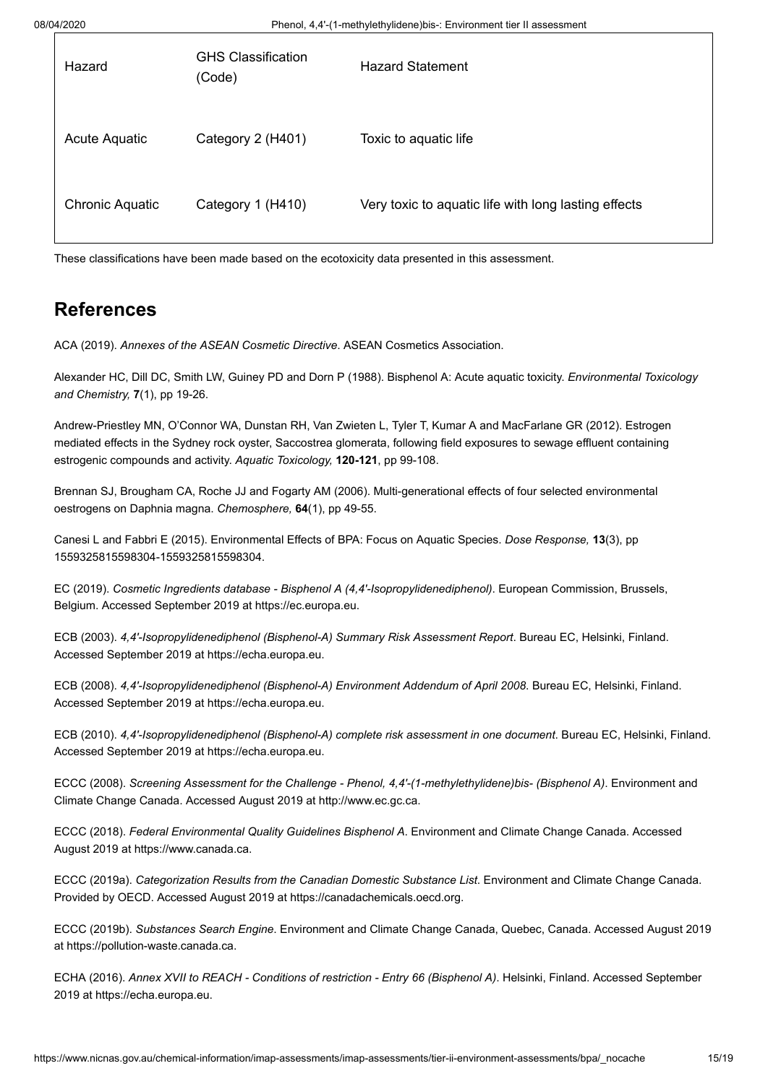| Hazard                 | <b>GHS Classification</b><br>(Code) | <b>Hazard Statement</b>                              |
|------------------------|-------------------------------------|------------------------------------------------------|
| Acute Aquatic          | Category 2 (H401)                   | Toxic to aquatic life                                |
| <b>Chronic Aquatic</b> | Category 1 (H410)                   | Very toxic to aquatic life with long lasting effects |

These classifications have been made based on the ecotoxicity data presented in this assessment.

# <span id="page-14-0"></span>**References**

<span id="page-14-10"></span>ACA (2019). *Annexes of the ASEAN Cosmetic Directive*. ASEAN Cosmetics Association.

<span id="page-14-12"></span>Alexander HC, Dill DC, Smith LW, Guiney PD and Dorn P (1988). Bisphenol A: Acute aquatic toxicity. *Environmental Toxicology and Chemistry,* **7**(1), pp 19-26.

<span id="page-14-14"></span>Andrew-Priestley MN, O'Connor WA, Dunstan RH, Van Zwieten L, Tyler T, Kumar A and MacFarlane GR (2012). Estrogen mediated effects in the Sydney rock oyster, Saccostrea glomerata, following field exposures to sewage effluent containing estrogenic compounds and activity. *Aquatic Toxicology,* **120-121**, pp 99-108.

<span id="page-14-13"></span>Brennan SJ, Brougham CA, Roche JJ and Fogarty AM (2006). Multi-generational effects of four selected environmental oestrogens on Daphnia magna. *Chemosphere,* **64**(1), pp 49-55.

<span id="page-14-11"></span>Canesi L and Fabbri E (2015). Environmental Effects of BPA: Focus on Aquatic Species. *Dose Response,* **13**(3), pp 1559325815598304-1559325815598304.

<span id="page-14-9"></span>EC (2019). *Cosmetic Ingredients database - Bisphenol A (4,4'-Isopropylidenediphenol)*. European Commission, Brussels, Belgium. Accessed September 2019 at [https://ec.europa.eu](https://ec.europa.eu/growth/tools-databases/cosing/index.cfm?fuseaction=search.details_v2&id=29395).

<span id="page-14-1"></span>ECB (2003). *4,4'-Isopropylidenediphenol (Bisphenol-A) Summary Risk Assessment Report*. Bureau EC, Helsinki, Finland. Accessed September 2019 at [https://echa.europa.eu](https://echa.europa.eu/documents/10162/d35a98bb-d173-4f31-b578-c056f91c1270).

<span id="page-14-2"></span>ECB (2008). *4,4'-Isopropylidenediphenol (Bisphenol-A) Environment Addendum of April 2008*. Bureau EC, Helsinki, Finland. Accessed September 2019 at [https://echa.europa.eu](https://echa.europa.eu/documents/10162/d1d9e186-4385-4595-b6cb-5a1a7a160f07).

<span id="page-14-3"></span>ECB (2010). *4,4'-Isopropylidenediphenol (Bisphenol-A) complete risk assessment in one document*. Bureau EC, Helsinki, Finland. Accessed September 2019 at [https://echa.europa.eu](https://echa.europa.eu/documents/10162/c6a8dcfc-1823-4d31-8a24-2c1168f0d217).

<span id="page-14-6"></span>ECCC (2008). *Screening Assessment for the Challenge - Phenol, 4,4'-(1-methylethylidene)bis- (Bisphenol A)*. Environment and Climate Change Canada. Accessed August 2019 at [http://www.ec.gc.ca.](http://www.ec.gc.ca/ese-ees/default.asp?lang=En&n=3C756383-1)

<span id="page-14-7"></span>ECCC (2018). *Federal Environmental Quality Guidelines Bisphenol A*. Environment and Climate Change Canada. Accessed August 2019 at [https://www.canada.ca.](https://www.canada.ca/en/environment-climate-change/services/evaluating-existing-substances/federal-environmental-quality-guidelines-bisphenol-a.html)

<span id="page-14-5"></span>ECCC (2019a). *Categorization Results from the Canadian Domestic Substance List*. Environment and Climate Change Canada. Provided by OECD. Accessed August 2019 at [https://canadachemicals.oecd.org](https://canadachemicals.oecd.org/Search.aspx).

<span id="page-14-4"></span>ECCC (2019b). *Substances Search Engine*. Environment and Climate Change Canada, Quebec, Canada. Accessed August 2019 at [https://pollution-waste.canada.ca](https://pollution-waste.canada.ca/substances-search/Substance?lang=en).

<span id="page-14-8"></span>ECHA (2016). *Annex XVII to REACH - Conditions of restriction - Entry 66 (Bisphenol A)*. Helsinki, Finland. Accessed September 2019 at [https://echa.europa.eu.](https://echa.europa.eu/documents/10162/370b5de7-9507-f1b4-edc6-80ef2e5cd781)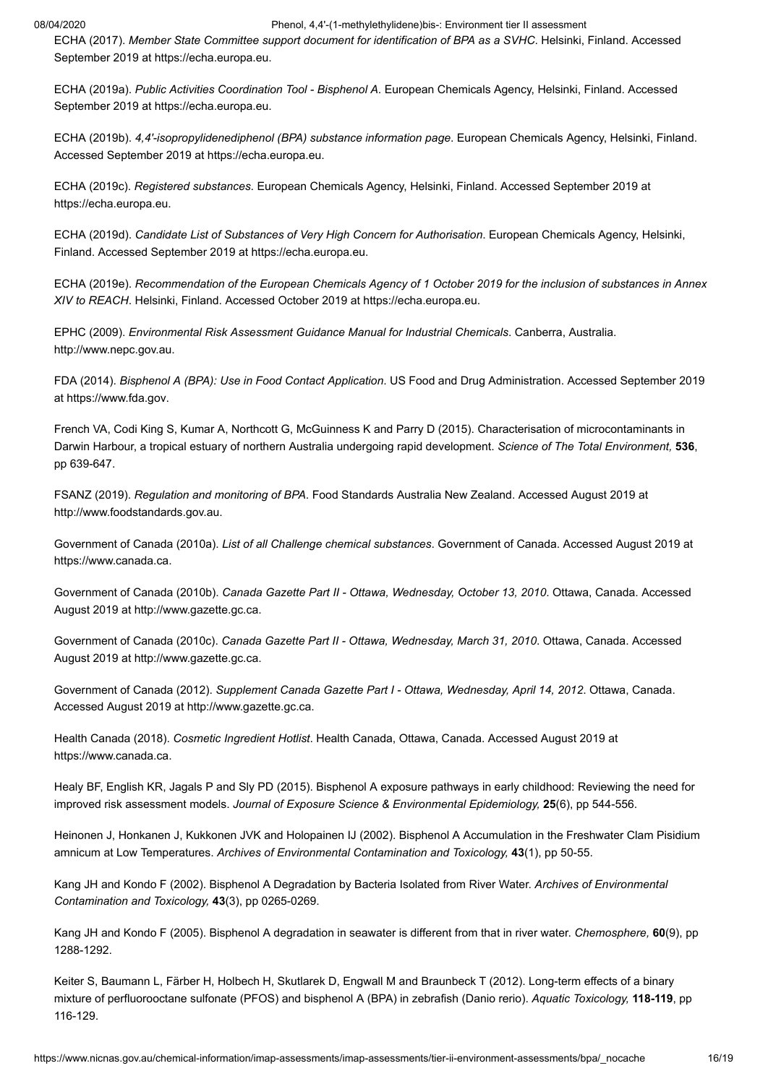<span id="page-15-18"></span>ECHA (2017). *Member State Committee support document for identification of BPA as a SVHC*. Helsinki, Finland. Accessed September 2019 at [https://echa.europa.eu](https://echa.europa.eu/documents/10162/a6b5f69f-391f-ba96-c130-4a30abcde5d6).

<span id="page-15-10"></span>ECHA (2019a). *Public Activities Coordination Tool - Bisphenol A*. European Chemicals Agency, Helsinki, Finland. Accessed September 2019 at [https://echa.europa.eu](https://echa.europa.eu/pact?p_p_id=disspact_WAR_disspactportlet&p_p_lifecycle=0&p_p_state=normal&p_p_mode=view&p_p_col_id=column-1&p_p_col_pos=1&p_p_col_count=2&_disspact_WAR_disspactportlet_substanceId=100.001.133&_disspact_WAR_disspactportlet_jspPage=%2Fhtml%2Fportlet%2Fdisspact%2FdetailsPage%2Fview_detailsPage.jsp).

<span id="page-15-0"></span>ECHA (2019b). *4,4'-isopropylidenediphenol (BPA) substance information page*. European Chemicals Agency, Helsinki, Finland. Accessed September 2019 at [https://echa.europa.eu](https://echa.europa.eu/en/substance-information/-/substanceinfo/100.001.133).

<span id="page-15-7"></span>ECHA (2019c). *Registered substances*. European Chemicals Agency, Helsinki, Finland. Accessed September 2019 at [https://echa.europa.eu](https://echa.europa.eu/information-on-chemicals/registered-substances).

<span id="page-15-8"></span>ECHA (2019d). *Candidate List of Substances of Very High Concern for Authorisation*. European Chemicals Agency, Helsinki, Finland. Accessed September 2019 at [https://echa.europa.eu](https://echa.europa.eu/candidate-list-table).

<span id="page-15-9"></span>ECHA (2019e). *Recommendation of the European Chemicals Agency of 1 October 2019 for the inclusion of substances in Annex XIV to REACH*. Helsinki, Finland. Accessed October 2019 at [https://echa.europa.eu.](https://echa.europa.eu/documents/10162/d4d55dea-cc36-8f57-0d9f-33b8e64c4f07)

<span id="page-15-19"></span>EPHC (2009). *Environmental Risk Assessment Guidance Manual for Industrial Chemicals*. Canberra, Australia. [http://www.nepc.gov.au](http://www.nepc.gov.au/resource/chemical-risk-assessment-guidance-manuals).

<span id="page-15-11"></span>FDA (2014). *Bisphenol A (BPA): Use in Food Contact Application*. US Food and Drug Administration. Accessed September 2019 at [https://www.fda.gov.](https://www.fda.gov/food/food-additives-petitions/bisphenol-bpa-use-food-contact-application)

<span id="page-15-16"></span>French VA, Codi King S, Kumar A, Northcott G, McGuinness K and Parry D (2015). Characterisation of microcontaminants in Darwin Harbour, a tropical estuary of northern Australia undergoing rapid development. *Science of The Total Environment,* **536**, pp 639-647.

<span id="page-15-1"></span>FSANZ (2019). *Regulation and monitoring of BPA*. Food Standards Australia New Zealand. Accessed August 2019 at [http://www.foodstandards.gov.au](http://www.foodstandards.gov.au/consumer/chemicals/bpa/pages/regulationandmonitor5377.aspx).

<span id="page-15-2"></span>Government of Canada (2010a). *List of all Challenge chemical substances*. Government of Canada. Accessed August 2019 at [https://www.canada.ca.](https://www.canada.ca/en/health-canada/services/chemical-substances/challenge/list.html)

<span id="page-15-3"></span>Government of Canada (2010b). *Canada Gazette Part II - Ottawa, Wednesday, October 13, 2010*. Ottawa, Canada. Accessed August 2019 at [http://www.gazette.gc.ca](http://www.gazette.gc.ca/rp-pr/p2/2010/2010-10-13/pdf/g2-14421.pdf#page=2).

<span id="page-15-6"></span>Government of Canada (2010c). *Canada Gazette Part II - Ottawa, Wednesday, March 31, 2010*. Ottawa, Canada. Accessed August 2019 at [http://www.gazette.gc.ca](http://www.gazette.gc.ca/rp-pr/p2/2010/2010-03-31/pdf/g2-14407.pdf).

<span id="page-15-4"></span>Government of Canada (2012). *Supplement Canada Gazette Part I - Ottawa, Wednesday, April 14, 2012*. Ottawa, Canada. Accessed August 2019 at [http://www.gazette.gc.ca](http://www.gazette.gc.ca/rp-pr/p2/2010/2010-10-13/pdf/g2-14421.pdf#page=2).

<span id="page-15-5"></span>Health Canada (2018). *Cosmetic Ingredient Hotlist*. Health Canada, Ottawa, Canada. Accessed August 2019 at [https://www.canada.ca.](https://www.canada.ca/en/health-canada/services/consumer-product-safety/cosmetics/cosmetic-ingredient-hotlist-prohibited-restricted-ingredients/hotlist.html)

<span id="page-15-12"></span>Healy BF, English KR, Jagals P and Sly PD (2015). Bisphenol A exposure pathways in early childhood: Reviewing the need for improved risk assessment models. *Journal of Exposure Science & Environmental Epidemiology,* **25**(6), pp 544-556.

<span id="page-15-15"></span>Heinonen J, Honkanen J, Kukkonen JVK and Holopainen IJ (2002). Bisphenol A Accumulation in the Freshwater Clam Pisidium amnicum at Low Temperatures. *Archives of Environmental Contamination and Toxicology,* **43**(1), pp 50-55.

<span id="page-15-14"></span>Kang JH and Kondo F (2002). Bisphenol A Degradation by Bacteria Isolated from River Water. *Archives of Environmental Contamination and Toxicology,* **43**(3), pp 0265-0269.

<span id="page-15-13"></span>Kang JH and Kondo F (2005). Bisphenol A degradation in seawater is different from that in river water. *Chemosphere,* **60**(9), pp 1288-1292.

<span id="page-15-17"></span>Keiter S, Baumann L, Färber H, Holbech H, Skutlarek D, Engwall M and Braunbeck T (2012). Long-term effects of a binary mixture of perfluorooctane sulfonate (PFOS) and bisphenol A (BPA) in zebrafish (Danio rerio). *Aquatic Toxicology,* **118-119**, pp 116-129.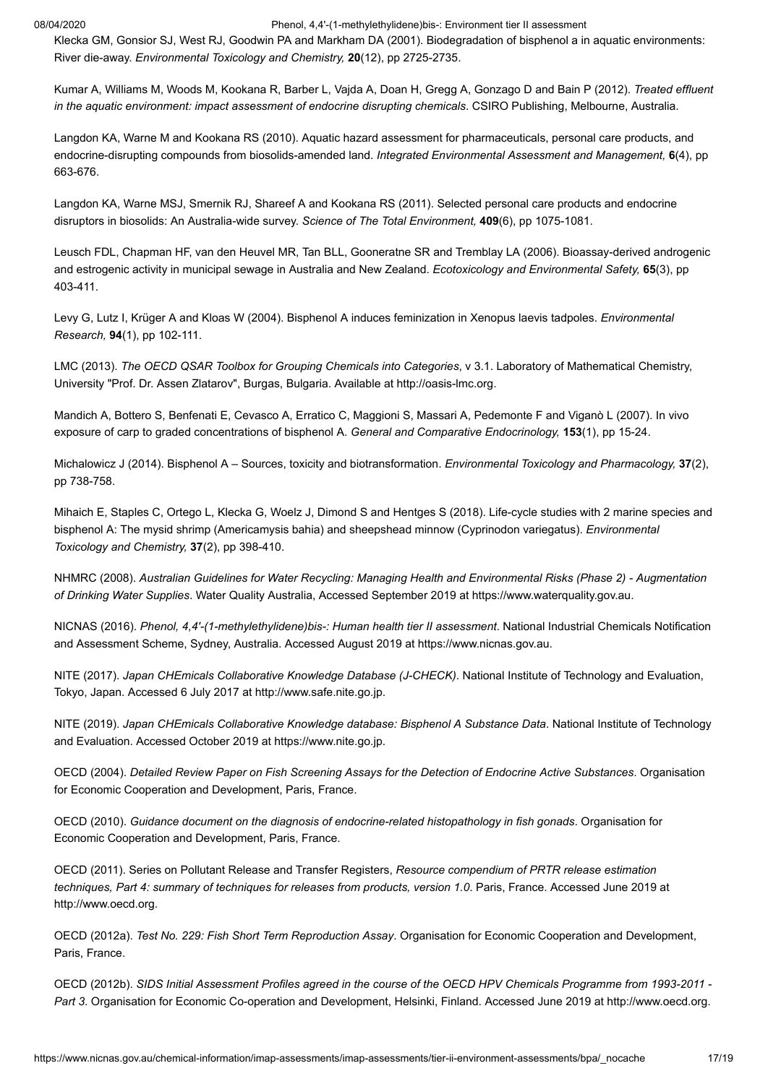<span id="page-16-6"></span>Klecka GM, Gonsior SJ, West RJ, Goodwin PA and Markham DA (2001). Biodegradation of bisphenol a in aquatic environments: River die-away. *Environmental Toxicology and Chemistry,* **20**(12), pp 2725-2735.

<span id="page-16-9"></span>Kumar A, Williams M, Woods M, Kookana R, Barber L, Vajda A, Doan H, Gregg A, Gonzago D and Bain P (2012). *Treated effluent in the aquatic environment: impact assessment of endocrine disrupting chemicals*. CSIRO Publishing, Melbourne, Australia.

<span id="page-16-12"></span>Langdon KA, Warne M and Kookana RS (2010). Aquatic hazard assessment for pharmaceuticals, personal care products, and endocrine-disrupting compounds from biosolids-amended land. *Integrated Environmental Assessment and Management,* **6**(4), pp 663-676.

<span id="page-16-11"></span>Langdon KA, Warne MSJ, Smernik RJ, Shareef A and Kookana RS (2011). Selected personal care products and endocrine disruptors in biosolids: An Australia-wide survey. *Science of The Total Environment,* **409**(6), pp 1075-1081.

<span id="page-16-10"></span>Leusch FDL, Chapman HF, van den Heuvel MR, Tan BLL, Gooneratne SR and Tremblay LA (2006). Bioassay-derived androgenic and estrogenic activity in municipal sewage in Australia and New Zealand. *Ecotoxicology and Environmental Safety,* **65**(3), pp 403-411.

<span id="page-16-18"></span>Levy G, Lutz I, Krüger A and Kloas W (2004). Bisphenol A induces feminization in Xenopus laevis tadpoles. *Environmental Research,* **94**(1), pp 102-111.

<span id="page-16-0"></span>LMC (2013). *The OECD QSAR Toolbox for Grouping Chemicals into Categories*, v 3.1. Laboratory of Mathematical Chemistry, University "Prof. Dr. Assen Zlatarov", Burgas, Bulgaria. Available at [http://oasis-lmc.org](http://oasis-lmc.org/).

<span id="page-16-16"></span>Mandich A, Bottero S, Benfenati E, Cevasco A, Erratico C, Maggioni S, Massari A, Pedemonte F and Viganò L (2007). In vivo exposure of carp to graded concentrations of bisphenol A. *General and Comparative Endocrinology,* **153**(1), pp 15-24.

<span id="page-16-8"></span>Michalowicz J (2014). Bisphenol A – Sources, toxicity and biotransformation. *Environmental Toxicology and Pharmacology,* **37**(2), pp 738-758.

<span id="page-16-13"></span>Mihaich E, Staples C, Ortego L, Klecka G, Woelz J, Dimond S and Hentges S (2018). Life-cycle studies with 2 marine species and bisphenol A: The mysid shrimp (Americamysis bahia) and sheepshead minnow (Cyprinodon variegatus). *Environmental Toxicology and Chemistry,* **37**(2), pp 398-410.

<span id="page-16-3"></span>NHMRC (2008). *Australian Guidelines for Water Recycling: Managing Health and Environmental Risks (Phase 2) - Augmentation of Drinking Water Supplies*. Water Quality Australia, Accessed September 2019 at [https://www.waterquality.gov.au](https://www.waterquality.gov.au/guidelines/recycled-water#augmentation-of-drinking-water-supplies-phase-2).

<span id="page-16-1"></span>NICNAS (2016). *Phenol, 4,4'-(1-methylethylidene)bis-: Human health tier II assessment*. National Industrial Chemicals Notification and Assessment Scheme, Sydney, Australia. Accessed August 2019 at [https://www.nicnas.gov.au.](https://www.nicnas.gov.au/chemical-information/imap-assessments/imap-assessment-details?assessment_id=1836#import)

<span id="page-16-2"></span>NITE (2017). *Japan CHEmicals Collaborative Knowledge Database (J-CHECK)*. National Institute of Technology and Evaluation, Tokyo, Japan. Accessed 6 July 2017 at [http://www.safe.nite.go.jp](http://www.safe.nite.go.jp/jcheck/search.action?request_locale=en).

<span id="page-16-7"></span>NITE (2019). *Japan CHEmicals Collaborative Knowledge database: Bisphenol A Substance Data*. National Institute of Technology and Evaluation. Accessed October 2019 at [https://www.nite.go.jp](https://www.nite.go.jp/chem/jcheck/detail.action?cno=80-05-7&mno=4-0123&request_locale=en).

<span id="page-16-14"></span>OECD (2004). *Detailed Review Paper on Fish Screening Assays for the Detection of Endocrine Active Substances*. Organisation for Economic Cooperation and Development, Paris, France.

<span id="page-16-17"></span>OECD (2010). *Guidance document on the diagnosis of endocrine-related histopathology in fish gonads*. Organisation for Economic Cooperation and Development, Paris, France.

<span id="page-16-5"></span>OECD (2011). Series on Pollutant Release and Transfer Registers, *Resource compendium of PRTR release estimation techniques, Part 4: summary of techniques for releases from products, version 1.0*. Paris, France. Accessed June 2019 at [http://www.oecd.org.](http://www.oecd.org/officialdocuments/publicdisplaydocumentpdf/?cote=env/jm/mono(2011)7/part2&doclanguage=en)

<span id="page-16-15"></span>OECD (2012a). *Test No. 229: Fish Short Term Reproduction Assay*. Organisation for Economic Cooperation and Development, Paris, France.

<span id="page-16-4"></span>OECD (2012b). *SIDS Initial Assessment Profiles agreed in the course of the OECD HPV Chemicals Programme from 1993-2011 - Part 3*. Organisation for Economic Co-operation and Development, Helsinki, Finland. Accessed June 2019 at [http://www.oecd.org.](http://www.oecd.org/officialdocuments/publicdisplaydocumentpdf/?cote=ENV/JM/MONO(2012)4/PART3&docLanguage=En)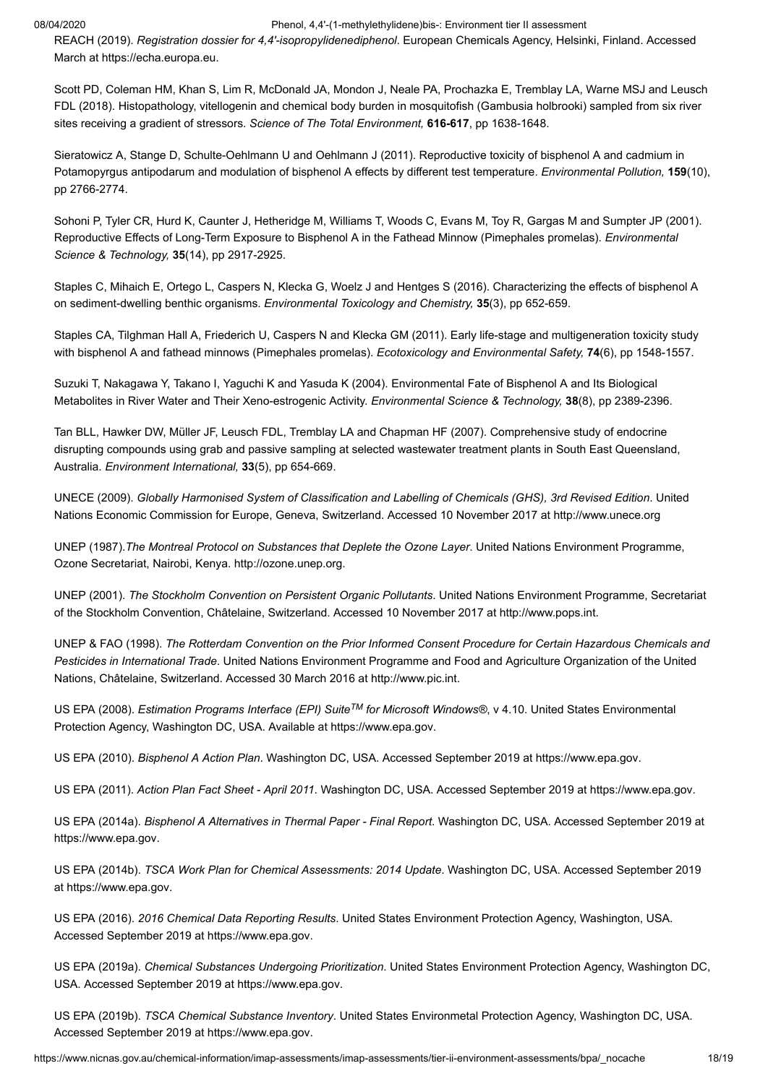<span id="page-17-0"></span>REACH (2019). *Registration dossier for 4,4'-isopropylidenediphenol*. European Chemicals Agency, Helsinki, Finland. Accessed March at [https://echa.europa.eu](https://echa.europa.eu/registration-dossier/-/registered-dossier/15752).

<span id="page-17-13"></span>Scott PD, Coleman HM, Khan S, Lim R, McDonald JA, Mondon J, Neale PA, Prochazka E, Tremblay LA, Warne MSJ and Leusch FDL (2018). Histopathology, vitellogenin and chemical body burden in mosquitofish (Gambusia holbrooki) sampled from six river sites receiving a gradient of stressors. *Science of The Total Environment,* **616-617**, pp 1638-1648.

<span id="page-17-15"></span>Sieratowicz A, Stange D, Schulte-Oehlmann U and Oehlmann J (2011). Reproductive toxicity of bisphenol A and cadmium in Potamopyrgus antipodarum and modulation of bisphenol A effects by different test temperature. *Environmental Pollution,* **159**(10), pp 2766-2774.

<span id="page-17-18"></span>Sohoni P, Tyler CR, Hurd K, Caunter J, Hetheridge M, Williams T, Woods C, Evans M, Toy R, Gargas M and Sumpter JP (2001). Reproductive Effects of Long-Term Exposure to Bisphenol A in the Fathead Minnow (Pimephales promelas). *Environmental Science & Technology,* **35**(14), pp 2917-2925.

<span id="page-17-17"></span>Staples C, Mihaich E, Ortego L, Caspers N, Klecka G, Woelz J and Hentges S (2016). Characterizing the effects of bisphenol A on sediment-dwelling benthic organisms. *Environmental Toxicology and Chemistry,* **35**(3), pp 652-659.

<span id="page-17-16"></span>Staples CA, Tilghman Hall A, Friederich U, Caspers N and Klecka GM (2011). Early life-stage and multigeneration toxicity study with bisphenol A and fathead minnows (Pimephales promelas). *Ecotoxicology and Environmental Safety,* **74**(6), pp 1548-1557.

<span id="page-17-12"></span>Suzuki T, Nakagawa Y, Takano I, Yaguchi K and Yasuda K (2004). Environmental Fate of Bisphenol A and Its Biological Metabolites in River Water and Their Xeno-estrogenic Activity. *Environmental Science & Technology,* **38**(8), pp 2389-2396.

<span id="page-17-14"></span>Tan BLL, Hawker DW, Müller JF, Leusch FDL, Tremblay LA and Chapman HF (2007). Comprehensive study of endocrine disrupting compounds using grab and passive sampling at selected wastewater treatment plants in South East Queensland, Australia. *Environment International,* **33**(5), pp 654-669.

<span id="page-17-19"></span>UNECE (2009). *Globally Harmonised System of Classification and Labelling of Chemicals (GHS), 3rd Revised Edition*. United Nations Economic Commission for Europe, Geneva, Switzerland. Accessed 10 November 2017 at [http://www.unece.org](http://www.unece.org/trans/danger/publi/ghs/ghs_rev03/03files_e.html)

<span id="page-17-4"></span>UNEP (1987).*The Montreal Protocol on Substances that Deplete the Ozone Layer*. United Nations Environment Programme, Ozone Secretariat, Nairobi, Kenya. [http://ozone.unep.org](http://ozone.unep.org/).

<span id="page-17-3"></span>UNEP (2001). *The Stockholm Convention on Persistent Organic Pollutants*. United Nations Environment Programme, Secretariat of the Stockholm Convention, Châtelaine, Switzerland. Accessed 10 November 2017 at [http://www.pops.int.](http://www.pops.int/)

<span id="page-17-5"></span>UNEP & FAO (1998). *The Rotterdam Convention on the Prior Informed Consent Procedure for Certain Hazardous Chemicals and Pesticides in International Trade*. United Nations Environment Programme and Food and Agriculture Organization of the United Nations, Châtelaine, Switzerland. Accessed 30 March 2016 at [http://www.pic.int](http://www.pic.int/).

<span id="page-17-11"></span>US EPA (2008). *Estimation Programs Interface (EPI) Suite™ for Microsoft Windows®, v 4.10. United States Environmental* Protection Agency, Washington DC, USA. Available at [https://www.epa.gov.](https://www.epa.gov/tsca-screening-tools/epi-suitetm-estimation-program-interface)

<span id="page-17-2"></span>US EPA (2010). *Bisphenol A Action Plan*. Washington DC, USA. Accessed September 2019 at [https://www.epa.gov.](https://www.epa.gov/sites/production/files/2015-09/documents/bpa_action_plan.pdf)

<span id="page-17-7"></span>US EPA (2011). *Action Plan Fact Sheet - April 2011*. Washington DC, USA. Accessed September 2019 at [https://www.epa.gov.](https://www.epa.gov/sites/production/files/2014-11/documents/overview.pdf)

<span id="page-17-10"></span>US EPA (2014a). *Bisphenol A Alternatives in Thermal Paper - Final Report*. Washington DC, USA. Accessed September 2019 at [https://www.epa.gov](https://www.epa.gov/sites/production/files/2014-05/documents/bpa_final.pdf).

<span id="page-17-8"></span>US EPA (2014b). *TSCA Work Plan for Chemical Assessments: 2014 Update*. Washington DC, USA. Accessed September 2019 at [https://www.epa.gov](https://www.epa.gov/sites/production/files/2015-01/documents/tsca_work_plan_chemicals_2014_update-final.pdf).

<span id="page-17-1"></span>US EPA (2016). *2016 Chemical Data Reporting Results*. United States Environment Protection Agency, Washington, USA. Accessed September 2019 at [https://www.epa.gov](https://www.epa.gov/chemical-data-reporting/2016-chemical-data-reporting-results).

<span id="page-17-9"></span>US EPA (2019a). *Chemical Substances Undergoing Prioritization*. United States Environment Protection Agency, Washington DC, USA. Accessed September 2019 at [https://www.epa.gov](https://www.epa.gov/assessing-and-managing-chemicals-under-tsca/chemical-substances-undergoing-prioritization).

<span id="page-17-6"></span>US EPA (2019b). *TSCA Chemical Substance Inventory*. United States Environmetal Protection Agency, Washington DC, USA. Accessed September 2019 at [https://www.epa.gov](https://www.epa.gov/tsca-inventory).